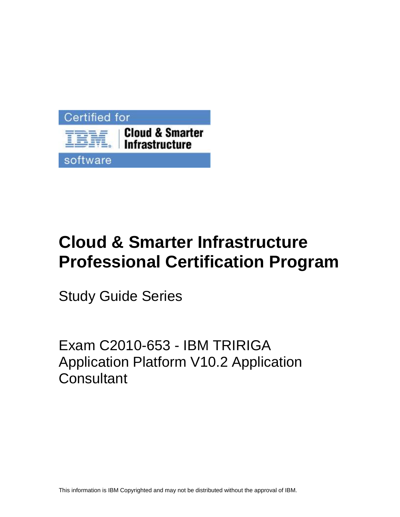

# **Cloud & Smarter Infrastructure Professional Certification Program**

Study Guide Series

Exam C2010-653 - IBM TRIRIGA Application Platform V10.2 Application **Consultant**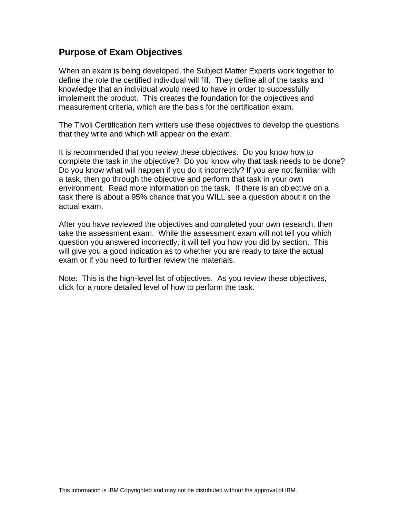# **Purpose of Exam Objectives**

When an exam is being developed, the Subject Matter Experts work together to define the role the certified individual will fill. They define all of the tasks and knowledge that an individual would need to have in order to successfully implement the product. This creates the foundation for the objectives and measurement criteria, which are the basis for the certification exam.

The Tivoli Certification item writers use these objectives to develop the questions that they write and which will appear on the exam.

It is recommended that you review these objectives. Do you know how to complete the task in the objective? Do you know why that task needs to be done? Do you know what will happen if you do it incorrectly? If you are not familiar with a task, then go through the objective and perform that task in your own environment. Read more information on the task. If there is an objective on a task there is about a 95% chance that you WILL see a question about it on the actual exam.

After you have reviewed the objectives and completed your own research, then take the assessment exam. While the assessment exam will not tell you which question you answered incorrectly, it will tell you how you did by section. This will give you a good indication as to whether you are ready to take the actual exam or if you need to further review the materials.

Note: This is the high-level list of objectives. As you review these objectives, click for a more detailed level of how to perform the task.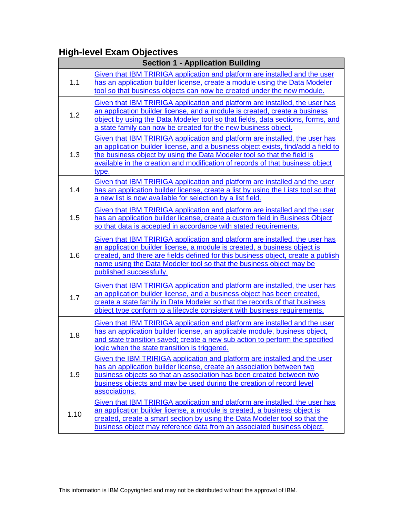# **High-level Exam Objectives**

|      | <b>Section 1 - Application Building</b>                                                                                                                                                                                                                                                                                                        |
|------|------------------------------------------------------------------------------------------------------------------------------------------------------------------------------------------------------------------------------------------------------------------------------------------------------------------------------------------------|
| 1.1  | Given that IBM TRIRIGA application and platform are installed and the user<br>has an application builder license, create a module using the Data Modeler<br>tool so that business objects can now be created under the new module.                                                                                                             |
| 1.2  | Given that IBM TRIRIGA application and platform are installed, the user has<br>an application builder license, and a module is created, create a business<br>object by using the Data Modeler tool so that fields, data sections, forms, and<br>a state family can now be created for the new business object.                                 |
| 1.3  | Given that IBM TRIRIGA application and platform are installed, the user has<br>an application builder license, and a business object exists, find/add a field to<br>the business object by using the Data Modeler tool so that the field is<br>available in the creation and modification of records of that business object<br>type.          |
| 1.4  | Given that IBM TRIRIGA application and platform are installed and the user<br>has an application builder license, create a list by using the Lists tool so that<br>a new list is now available for selection by a list field.                                                                                                                  |
| 1.5  | Given that IBM TRIRIGA application and platform are installed and the user<br>has an application builder license, create a custom field in Business Object<br>so that data is accepted in accordance with stated requirements.                                                                                                                 |
| 1.6  | Given that IBM TRIRIGA application and platform are installed, the user has<br>an application builder license, a module is created, a business object is<br>created, and there are fields defined for this business object, create a publish<br>name using the Data Modeler tool so that the business object may be<br>published successfully. |
| 1.7  | Given that IBM TRIRIGA application and platform are installed, the user has<br>an application builder license, and a business object has been created,<br>create a state family in Data Modeler so that the records of that business<br>object type conform to a lifecycle consistent with business requirements.                              |
| 1.8  | Given that IBM TRIRIGA application and platform are installed and the user<br>has an application builder license, an applicable module, business object,<br>and state transition saved; create a new sub action to perform the specified<br>logic when the state transition is triggered.                                                      |
| 1.9  | Given the IBM TRIRIGA application and platform are installed and the user<br>has an application builder license, create an association between two<br>business objects so that an association has been created between two<br>business objects and may be used during the creation of record level<br>associations.                            |
| 1.10 | Given that IBM TRIRIGA application and platform are installed, the user has<br>an application builder license, a module is created, a business object is<br>created, create a smart section by using the Data Modeler tool so that the<br>business object may reference data from an associated business object.                               |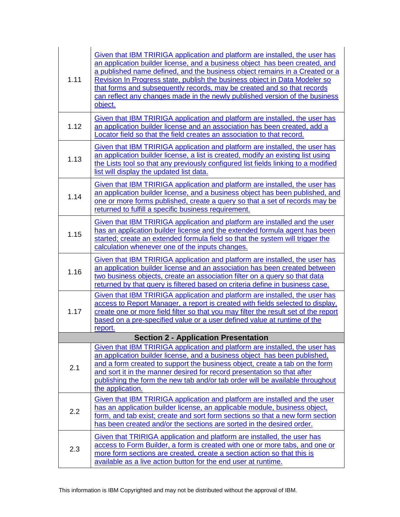| 1.11                                        | Given that IBM TRIRIGA application and platform are installed, the user has<br>an application builder license, and a business object has been created, and<br>a published name defined, and the business object remains in a Created or a<br>Revision In Progress state, publish the business object in Data Modeler so<br>that forms and subsequently records, may be created and so that records<br>can reflect any changes made in the newly published version of the business<br>object. |  |
|---------------------------------------------|----------------------------------------------------------------------------------------------------------------------------------------------------------------------------------------------------------------------------------------------------------------------------------------------------------------------------------------------------------------------------------------------------------------------------------------------------------------------------------------------|--|
| 1.12                                        | Given that IBM TRIRIGA application and platform are installed, the user has<br>an application builder license and an association has been created, add a<br>Locator field so that the field creates an association to that record.                                                                                                                                                                                                                                                           |  |
| 1.13                                        | Given that IBM TRIRIGA application and platform are installed, the user has<br>an application builder license, a list is created, modify an existing list using<br>the Lists tool so that any previously configured list fields linking to a modified<br>list will display the updated list data.                                                                                                                                                                                            |  |
| 1.14                                        | Given that IBM TRIRIGA application and platform are installed, the user has<br>an application builder license, and a business object has been published, and<br>one or more forms published, create a query so that a set of records may be<br>returned to fulfill a specific business requirement.                                                                                                                                                                                          |  |
| 1.15                                        | Given that IBM TRIRIGA application and platform are installed and the user<br>has an application builder license and the extended formula agent has been<br>started; create an extended formula field so that the system will trigger the<br>calculation whenever one of the inputs changes.                                                                                                                                                                                                 |  |
| 1.16                                        | Given that IBM TRIRIGA application and platform are installed, the user has<br>an application builder license and an association has been created between<br>two business objects, create an association filter on a query so that data<br>returned by that query is filtered based on criteria define in business case.                                                                                                                                                                     |  |
| 1.17                                        | Given that IBM TRIRIGA application and platform are installed, the user has<br>access to Report Manager, a report is created with fields selected to display,<br>create one or more field filter so that you may filter the result set of the report<br>based on a pre-specified value or a user defined value at runtime of the<br>report.                                                                                                                                                  |  |
| <b>Section 2 - Application Presentation</b> |                                                                                                                                                                                                                                                                                                                                                                                                                                                                                              |  |
| 2.1                                         | Given that IBM TRIRIGA application and platform are installed, the user has<br>an application builder license, and a business object has been published,<br>and a form created to support the business object, create a tab on the form<br>and sort it in the manner desired for record presentation so that after<br>publishing the form the new tab and/or tab order will be available throughout<br>the application.                                                                      |  |
| 2.2                                         | Given that IBM TRIRIGA application and platform are installed and the user<br>has an application builder license, an applicable module, business object,<br>form, and tab exist; create and sort form sections so that a new form section<br>has been created and/or the sections are sorted in the desired order.                                                                                                                                                                           |  |
| 2.3                                         | Given that TRIRIGA application and platform are installed, the user has<br>access to Form Builder, a form is created with one or more tabs, and one or<br>more form sections are created, create a section action so that this is<br>available as a live action button for the end user at runtime.                                                                                                                                                                                          |  |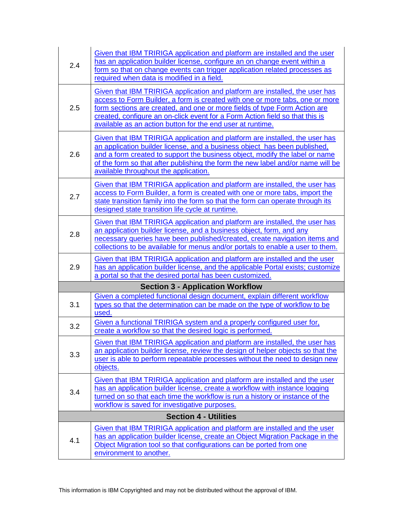| 2.4                          | Given that IBM TRIRIGA application and platform are installed and the user<br>has an application builder license, configure an on change event within a<br>form so that on change events can trigger application related processes as<br>required when data is modified in a field.                                                                                                    |  |
|------------------------------|----------------------------------------------------------------------------------------------------------------------------------------------------------------------------------------------------------------------------------------------------------------------------------------------------------------------------------------------------------------------------------------|--|
| 2.5                          | Given that IBM TRIRIGA application and platform are installed, the user has<br>access to Form Builder, a form is created with one or more tabs, one or more<br>form sections are created, and one or more fields of type Form Action are<br>created, configure an on-click event for a Form Action field so that this is<br>available as an action button for the end user at runtime. |  |
| 2.6                          | Given that IBM TRIRIGA application and platform are installed, the user has<br>an application builder license, and a business object has been published,<br>and a form created to support the business object, modify the label or name<br>of the form so that after publishing the form the new label and/or name will be<br>available throughout the application.                    |  |
| 2.7                          | Given that IBM TRIRIGA application and platform are installed, the user has<br>access to Form Builder, a form is created with one or more tabs, import the<br>state transition family into the form so that the form can operate through its<br>designed state transition life cycle at runtime.                                                                                       |  |
| 2.8                          | Given that IBM TRIRIGA application and platform are installed, the user has<br>an application builder license, and a business object, form, and any<br>necessary queries have been published/created, create navigation items and<br>collections to be available for menus and/or portals to enable a user to them.                                                                    |  |
| 2.9                          | Given that IBM TRIRIGA application and platform are installed and the user<br>has an application builder license, and the applicable Portal exists; customize<br>a portal so that the desired portal has been customized.                                                                                                                                                              |  |
|                              | <b>Section 3 - Application Workflow</b>                                                                                                                                                                                                                                                                                                                                                |  |
| 3.1                          | Given a completed functional design document, explain different workflow<br>types so that the determination can be made on the type of workflow to be<br>used.                                                                                                                                                                                                                         |  |
| 3.2                          | Given a functional TRIRIGA system and a properly configured user for,<br>create a workflow so that the desired logic is performed.                                                                                                                                                                                                                                                     |  |
| 3.3                          | Given that IBM TRIRIGA application and platform are installed, the user has<br>an application builder license, review the design of helper objects so that the<br>user is able to perform repeatable processes without the need to design new<br>objects.                                                                                                                              |  |
| 3.4                          | Given that IBM TRIRIGA application and platform are installed and the user<br>has an application builder license, create a workflow with instance logging<br>turned on so that each time the workflow is run a history or instance of the<br>workflow is saved for investigative purposes.                                                                                             |  |
| <b>Section 4 - Utilities</b> |                                                                                                                                                                                                                                                                                                                                                                                        |  |
|                              |                                                                                                                                                                                                                                                                                                                                                                                        |  |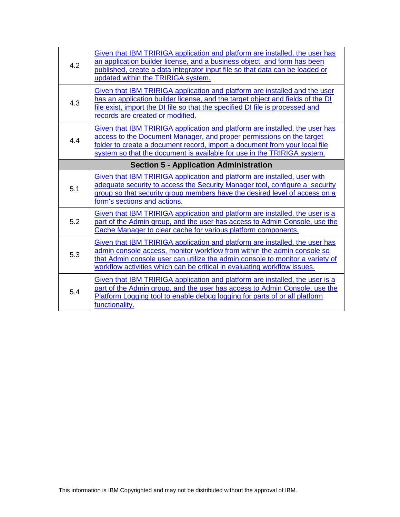| 4.2                                           | Given that IBM TRIRIGA application and platform are installed, the user has<br>an application builder license, and a business object and form has been<br>published, create a data integrator input file so that data can be loaded or<br>updated within the TRIRIGA system.                                        |  |
|-----------------------------------------------|---------------------------------------------------------------------------------------------------------------------------------------------------------------------------------------------------------------------------------------------------------------------------------------------------------------------|--|
| 4.3                                           | Given that IBM TRIRIGA application and platform are installed and the user<br>has an application builder license, and the target object and fields of the DI<br>file exist, import the DI file so that the specified DI file is processed and<br>records are created or modified.                                   |  |
| 4.4                                           | Given that IBM TRIRIGA application and platform are installed, the user has<br>access to the Document Manager, and proper permissions on the target<br>folder to create a document record, import a document from your local file<br>system so that the document is available for use in the TRIRIGA system.        |  |
| <b>Section 5 - Application Administration</b> |                                                                                                                                                                                                                                                                                                                     |  |
| 5.1                                           | Given that IBM TRIRIGA application and platform are installed, user with<br>adequate security to access the Security Manager tool, configure a security<br>group so that security group members have the desired level of access on a<br>form's sections and actions.                                               |  |
| 5.2                                           | Given that IBM TRIRIGA application and platform are installed, the user is a<br>part of the Admin group, and the user has access to Admin Console, use the<br>Cache Manager to clear cache for various platform components.                                                                                         |  |
| 5.3                                           | Given that IBM TRIRIGA application and platform are installed, the user has<br>admin console access, monitor workflow from within the admin console so<br>that Admin console user can utilize the admin console to monitor a variety of<br>workflow activities which can be critical in evaluating workflow issues. |  |
| 5.4                                           | Given that IBM TRIRIGA application and platform are installed, the user is a<br>part of the Admin group, and the user has access to Admin Console, use the<br>Platform Logging tool to enable debug logging for parts of or all platform<br>functionality.                                                          |  |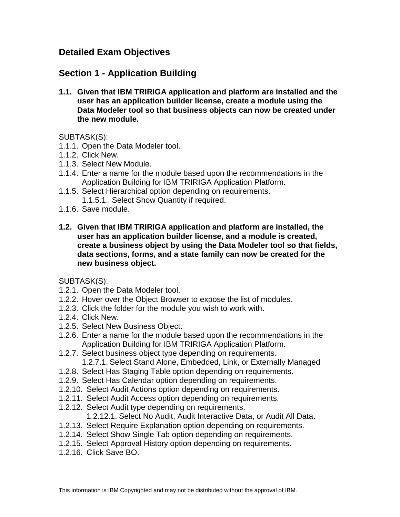# **Detailed Exam Objectives**

# **Section 1 - Application Building**

**1.1. Given that IBM TRIRIGA application and platform are installed and the user has an application builder license, create a module using the Data Modeler tool so that business objects can now be created under the new module.** 

SUBTASK(S):

- 1.1.1. Open the Data Modeler tool.
- 1.1.2. Click New.
- 1.1.3. Select New Module.
- 1.1.4. Enter a name for the module based upon the recommendations in the Application Building for IBM TRIRIGA Application Platform.
- 1.1.5. Select Hierarchical option depending on requirements. 1.1.5.1. Select Show Quantity if required.
- 1.1.6. Save module.
- **1.2. Given that IBM TRIRIGA application and platform are installed, the user has an application builder license, and a module is created, create a business object by using the Data Modeler tool so that fields, data sections, forms, and a state family can now be created for the new business object.**

- 1.2.1. Open the Data Modeler tool.
- 1.2.2. Hover over the Object Browser to expose the list of modules.
- 1.2.3. Click the folder for the module you wish to work with.
- 1.2.4. Click New.
- 1.2.5. Select New Business Object.
- 1.2.6. Enter a name for the module based upon the recommendations in the Application Building for IBM TRIRIGA Application Platform.
- 1.2.7. Select business object type depending on requirements. 1.2.7.1. Select Stand Alone, Embedded, Link, or Externally Managed
- 1.2.8. Select Has Staging Table option depending on requirements.
- 1.2.9. Select Has Calendar option depending on requirements.
- 1.2.10. Select Audit Actions option depending on requirements.
- 1.2.11. Select Audit Access option depending on requirements.
- 1.2.12. Select Audit type depending on requirements. 1.2.12.1. Select No Audit, Audit Interactive Data, or Audit All Data.
- 1.2.13. Select Require Explanation option depending on requirements.
- 1.2.14. Select Show Single Tab option depending on requirements.
- 1.2.15. Select Approval History option depending on requirements.
- 1.2.16. Click Save BO.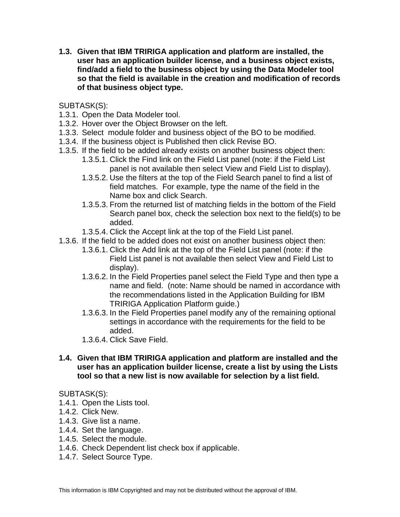**1.3. Given that IBM TRIRIGA application and platform are installed, the user has an application builder license, and a business object exists, find/add a field to the business object by using the Data Modeler tool so that the field is available in the creation and modification of records of that business object type.** 

SUBTASK(S):

- 1.3.1. Open the Data Modeler tool.
- 1.3.2. Hover over the Object Browser on the left.
- 1.3.3. Select module folder and business object of the BO to be modified.
- 1.3.4. If the business object is Published then click Revise BO.
- 1.3.5. If the field to be added already exists on another business object then:
	- 1.3.5.1. Click the Find link on the Field List panel (note: if the Field List panel is not available then select View and Field List to display).
	- 1.3.5.2. Use the filters at the top of the Field Search panel to find a list of field matches. For example, type the name of the field in the Name box and click Search.
	- 1.3.5.3. From the returned list of matching fields in the bottom of the Field Search panel box, check the selection box next to the field(s) to be added.
	- 1.3.5.4. Click the Accept link at the top of the Field List panel.
- 1.3.6. If the field to be added does not exist on another business object then:
	- 1.3.6.1. Click the Add link at the top of the Field List panel (note: if the Field List panel is not available then select View and Field List to display).
	- 1.3.6.2. In the Field Properties panel select the Field Type and then type a name and field. (note: Name should be named in accordance with the recommendations listed in the Application Building for IBM TRIRIGA Application Platform guide.)
	- 1.3.6.3. In the Field Properties panel modify any of the remaining optional settings in accordance with the requirements for the field to be added.
	- 1.3.6.4. Click Save Field.
- **1.4. Given that IBM TRIRIGA application and platform are installed and the user has an application builder license, create a list by using the Lists tool so that a new list is now available for selection by a list field.**

- 1.4.1. Open the Lists tool.
- 1.4.2. Click New.
- 1.4.3. Give list a name.
- 1.4.4. Set the language.
- 1.4.5. Select the module.
- 1.4.6. Check Dependent list check box if applicable.
- 1.4.7. Select Source Type.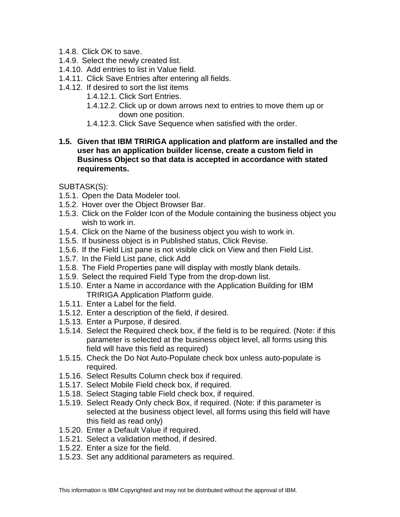- 1.4.8. Click OK to save.
- 1.4.9. Select the newly created list.
- 1.4.10. Add entries to list in Value field.
- 1.4.11. Click Save Entries after entering all fields.
- 1.4.12. If desired to sort the list items
	- 1.4.12.1. Click Sort Entries.
	- 1.4.12.2. Click up or down arrows next to entries to move them up or down one position.
	- 1.4.12.3. Click Save Sequence when satisfied with the order.

#### **1.5. Given that IBM TRIRIGA application and platform are installed and the user has an application builder license, create a custom field in Business Object so that data is accepted in accordance with stated requirements.**

- 1.5.1. Open the Data Modeler tool.
- 1.5.2. Hover over the Object Browser Bar.
- 1.5.3. Click on the Folder Icon of the Module containing the business object you wish to work in.
- 1.5.4. Click on the Name of the business object you wish to work in.
- 1.5.5. If business object is in Published status, Click Revise.
- 1.5.6. If the Field List pane is not visible click on View and then Field List.
- 1.5.7. In the Field List pane, click Add
- 1.5.8. The Field Properties pane will display with mostly blank details.
- 1.5.9. Select the required Field Type from the drop-down list.
- 1.5.10. Enter a Name in accordance with the Application Building for IBM TRIRIGA Application Platform guide.
- 1.5.11. Enter a Label for the field.
- 1.5.12. Enter a description of the field, if desired.
- 1.5.13. Enter a Purpose, if desired.
- 1.5.14. Select the Required check box, if the field is to be required. (Note: if this parameter is selected at the business object level, all forms using this field will have this field as required)
- 1.5.15. Check the Do Not Auto-Populate check box unless auto-populate is required.
- 1.5.16. Select Results Column check box if required.
- 1.5.17. Select Mobile Field check box, if required.
- 1.5.18. Select Staging table Field check box, if required.
- 1.5.19. Select Ready Only check Box, if required. (Note: if this parameter is selected at the business object level, all forms using this field will have this field as read only)
- 1.5.20. Enter a Default Value if required.
- 1.5.21. Select a validation method, if desired.
- 1.5.22. Enter a size for the field.
- 1.5.23. Set any additional parameters as required.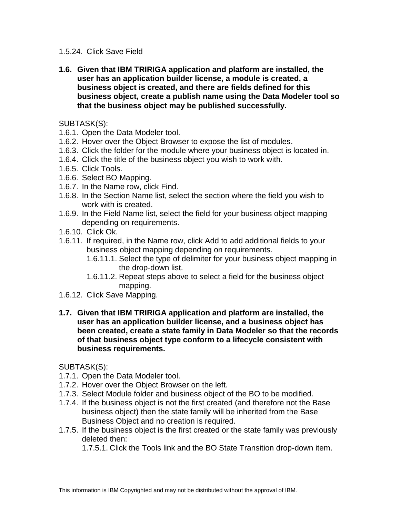#### 1.5.24. Click Save Field

**1.6. Given that IBM TRIRIGA application and platform are installed, the user has an application builder license, a module is created, a business object is created, and there are fields defined for this business object, create a publish name using the Data Modeler tool so that the business object may be published successfully.**

#### SUBTASK(S):

- 1.6.1. Open the Data Modeler tool.
- 1.6.2. Hover over the Object Browser to expose the list of modules.
- 1.6.3. Click the folder for the module where your business object is located in.
- 1.6.4. Click the title of the business object you wish to work with.
- 1.6.5. Click Tools.
- 1.6.6. Select BO Mapping.
- 1.6.7. In the Name row, click Find.
- 1.6.8. In the Section Name list, select the section where the field you wish to work with is created.
- 1.6.9. In the Field Name list, select the field for your business object mapping depending on requirements.
- 1.6.10. Click Ok.
- 1.6.11. If required, in the Name row, click Add to add additional fields to your business object mapping depending on requirements.
	- 1.6.11.1. Select the type of delimiter for your business object mapping in the drop-down list.
	- 1.6.11.2. Repeat steps above to select a field for the business object mapping.
- 1.6.12. Click Save Mapping.
- **1.7. Given that IBM TRIRIGA application and platform are installed, the user has an application builder license, and a business object has been created, create a state family in Data Modeler so that the records of that business object type conform to a lifecycle consistent with business requirements.**

## SUBTASK(S):

- 1.7.1. Open the Data Modeler tool.
- 1.7.2. Hover over the Object Browser on the left.
- 1.7.3. Select Module folder and business object of the BO to be modified.
- 1.7.4. If the business object is not the first created (and therefore not the Base business object) then the state family will be inherited from the Base Business Object and no creation is required.
- 1.7.5. If the business object is the first created or the state family was previously deleted then:

1.7.5.1. Click the Tools link and the BO State Transition drop-down item.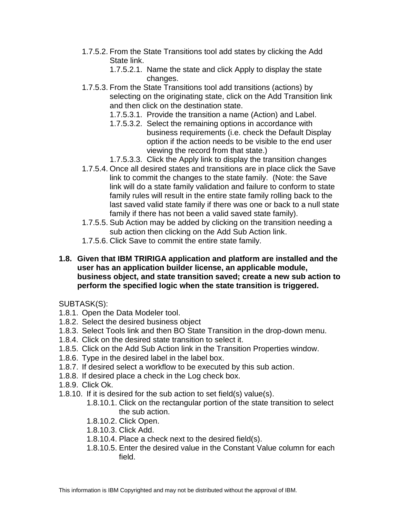- 1.7.5.2. From the State Transitions tool add states by clicking the Add State link.
	- 1.7.5.2.1. Name the state and click Apply to display the state changes.
- 1.7.5.3. From the State Transitions tool add transitions (actions) by selecting on the originating state, click on the Add Transition link and then click on the destination state.
	- 1.7.5.3.1. Provide the transition a name (Action) and Label.
	- 1.7.5.3.2. Select the remaining options in accordance with business requirements (i.e. check the Default Display option if the action needs to be visible to the end user viewing the record from that state.)
	- 1.7.5.3.3. Click the Apply link to display the transition changes
- 1.7.5.4. Once all desired states and transitions are in place click the Save link to commit the changes to the state family. (Note: the Save link will do a state family validation and failure to conform to state family rules will result in the entire state family rolling back to the last saved valid state family if there was one or back to a null state family if there has not been a valid saved state family).
- 1.7.5.5. Sub Action may be added by clicking on the transition needing a sub action then clicking on the Add Sub Action link.
- 1.7.5.6. Click Save to commit the entire state family.
- **1.8. Given that IBM TRIRIGA application and platform are installed and the user has an application builder license, an applicable module, business object, and state transition saved; create a new sub action to perform the specified logic when the state transition is triggered.**

- 1.8.1. Open the Data Modeler tool.
- 1.8.2. Select the desired business object
- 1.8.3. Select Tools link and then BO State Transition in the drop-down menu.
- 1.8.4. Click on the desired state transition to select it.
- 1.8.5. Click on the Add Sub Action link in the Transition Properties window.
- 1.8.6. Type in the desired label in the label box.
- 1.8.7. If desired select a workflow to be executed by this sub action.
- 1.8.8. If desired place a check in the Log check box.
- 1.8.9. Click Ok.
- 1.8.10. If it is desired for the sub action to set field(s) value(s).
	- 1.8.10.1. Click on the rectangular portion of the state transition to select the sub action.
	- 1.8.10.2. Click Open.
	- 1.8.10.3. Click Add.
	- 1.8.10.4. Place a check next to the desired field(s).
	- 1.8.10.5. Enter the desired value in the Constant Value column for each field.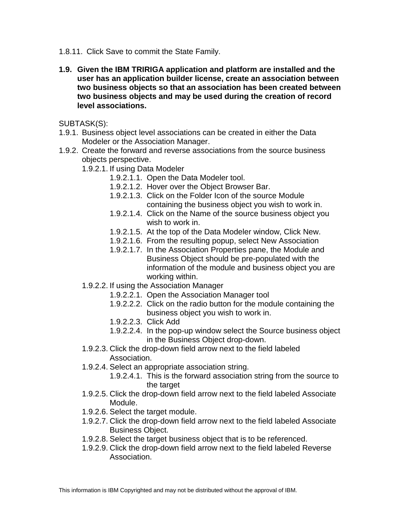- 1.8.11. Click Save to commit the State Family.
- **1.9. Given the IBM TRIRIGA application and platform are installed and the user has an application builder license, create an association between two business objects so that an association has been created between two business objects and may be used during the creation of record level associations.**

- 1.9.1. Business object level associations can be created in either the Data Modeler or the Association Manager.
- 1.9.2. Create the forward and reverse associations from the source business objects perspective.
	- 1.9.2.1. If using Data Modeler
		- 1.9.2.1.1. Open the Data Modeler tool.
		- 1.9.2.1.2. Hover over the Object Browser Bar.
		- 1.9.2.1.3. Click on the Folder Icon of the source Module containing the business object you wish to work in.
		- 1.9.2.1.4. Click on the Name of the source business object you wish to work in.
		- 1.9.2.1.5. At the top of the Data Modeler window, Click New.
		- 1.9.2.1.6. From the resulting popup, select New Association
		- 1.9.2.1.7. In the Association Properties pane, the Module and Business Object should be pre-populated with the information of the module and business object you are working within.
	- 1.9.2.2. If using the Association Manager
		- 1.9.2.2.1. Open the Association Manager tool
		- 1.9.2.2.2. Click on the radio button for the module containing the business object you wish to work in.
		- 1.9.2.2.3. Click Add
		- 1.9.2.2.4. In the pop-up window select the Source business object in the Business Object drop-down.
	- 1.9.2.3. Click the drop-down field arrow next to the field labeled Association.
	- 1.9.2.4. Select an appropriate association string.
		- 1.9.2.4.1. This is the forward association string from the source to the target
	- 1.9.2.5. Click the drop-down field arrow next to the field labeled Associate Module.
	- 1.9.2.6. Select the target module.
	- 1.9.2.7. Click the drop-down field arrow next to the field labeled Associate Business Object.
	- 1.9.2.8. Select the target business object that is to be referenced.
	- 1.9.2.9. Click the drop-down field arrow next to the field labeled Reverse Association.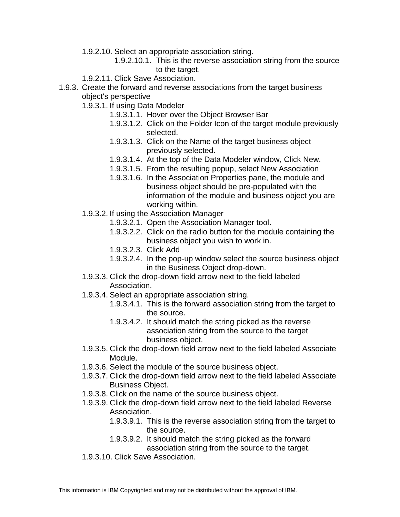- 1.9.2.10. Select an appropriate association string.
	- 1.9.2.10.1. This is the reverse association string from the source to the target.
- 1.9.2.11. Click Save Association.
- 1.9.3. Create the forward and reverse associations from the target business object's perspective
	- 1.9.3.1. If using Data Modeler
		- 1.9.3.1.1. Hover over the Object Browser Bar
		- 1.9.3.1.2. Click on the Folder Icon of the target module previously selected.
		- 1.9.3.1.3. Click on the Name of the target business object previously selected.
		- 1.9.3.1.4. At the top of the Data Modeler window, Click New.
		- 1.9.3.1.5. From the resulting popup, select New Association
		- 1.9.3.1.6. In the Association Properties pane, the module and business object should be pre-populated with the information of the module and business object you are working within.
	- 1.9.3.2. If using the Association Manager
		- 1.9.3.2.1. Open the Association Manager tool.
			- 1.9.3.2.2. Click on the radio button for the module containing the business object you wish to work in.
			- 1.9.3.2.3. Click Add
			- 1.9.3.2.4. In the pop-up window select the source business object in the Business Object drop-down.
	- 1.9.3.3. Click the drop-down field arrow next to the field labeled Association.
	- 1.9.3.4. Select an appropriate association string.
		- 1.9.3.4.1. This is the forward association string from the target to the source.
		- 1.9.3.4.2. It should match the string picked as the reverse association string from the source to the target business object.
	- 1.9.3.5. Click the drop-down field arrow next to the field labeled Associate Module.
	- 1.9.3.6. Select the module of the source business object.
	- 1.9.3.7. Click the drop-down field arrow next to the field labeled Associate Business Object.
	- 1.9.3.8. Click on the name of the source business object.
	- 1.9.3.9. Click the drop-down field arrow next to the field labeled Reverse Association.
		- 1.9.3.9.1. This is the reverse association string from the target to the source.
		- 1.9.3.9.2. It should match the string picked as the forward association string from the source to the target.
	- 1.9.3.10. Click Save Association.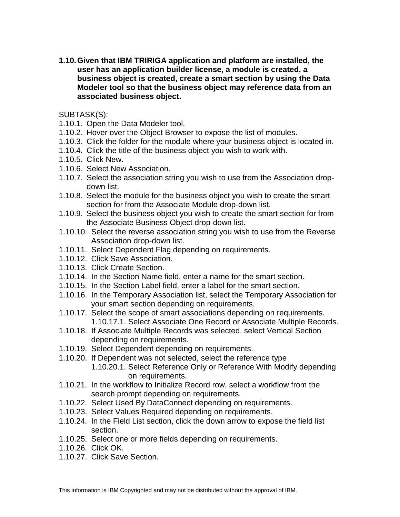**1.10.Given that IBM TRIRIGA application and platform are installed, the user has an application builder license, a module is created, a business object is created, create a smart section by using the Data Modeler tool so that the business object may reference data from an associated business object.**

- 1.10.1. Open the Data Modeler tool.
- 1.10.2. Hover over the Object Browser to expose the list of modules.
- 1.10.3. Click the folder for the module where your business object is located in.
- 1.10.4. Click the title of the business object you wish to work with.
- 1.10.5. Click New.
- 1.10.6. Select New Association.
- 1.10.7. Select the association string you wish to use from the Association dropdown list.
- 1.10.8. Select the module for the business object you wish to create the smart section for from the Associate Module drop-down list.
- 1.10.9. Select the business object you wish to create the smart section for from the Associate Business Object drop-down list.
- 1.10.10. Select the reverse association string you wish to use from the Reverse Association drop-down list.
- 1.10.11. Select Dependent Flag depending on requirements.
- 1.10.12. Click Save Association.
- 1.10.13. Click Create Section.
- 1.10.14. In the Section Name field, enter a name for the smart section.
- 1.10.15. In the Section Label field, enter a label for the smart section.
- 1.10.16. In the Temporary Association list, select the Temporary Association for your smart section depending on requirements.
- 1.10.17. Select the scope of smart associations depending on requirements. 1.10.17.1. Select Associate One Record or Associate Multiple Records.
- 1.10.18. If Associate Multiple Records was selected, select Vertical Section depending on requirements.
- 1.10.19. Select Dependent depending on requirements.
- 1.10.20. If Dependent was not selected, select the reference type
	- 1.10.20.1. Select Reference Only or Reference With Modify depending on requirements.
- 1.10.21. In the workflow to Initialize Record row, select a workflow from the search prompt depending on requirements.
- 1.10.22. Select Used By DataConnect depending on requirements.
- 1.10.23. Select Values Required depending on requirements.
- 1.10.24. In the Field List section, click the down arrow to expose the field list section.
- 1.10.25. Select one or more fields depending on requirements.
- 1.10.26. Click OK.
- 1.10.27. Click Save Section.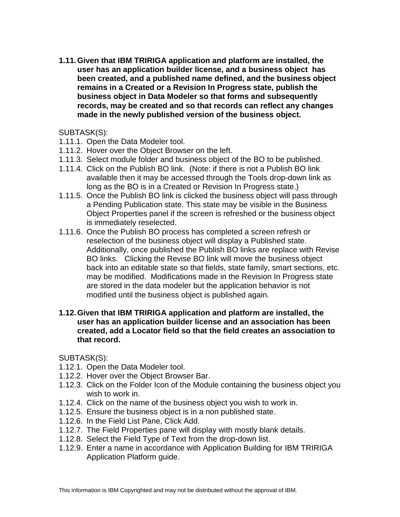**1.11.Given that IBM TRIRIGA application and platform are installed, the user has an application builder license, and a business object has been created, and a published name defined, and the business object remains in a Created or a Revision In Progress state, publish the business object in Data Modeler so that forms and subsequently records, may be created and so that records can reflect any changes made in the newly published version of the business object.** 

## SUBTASK(S):

- 1.11.1. Open the Data Modeler tool.
- 1.11.2. Hover over the Object Browser on the left.
- 1.11.3. Select module folder and business object of the BO to be published.
- 1.11.4. Click on the Publish BO link. (Note: if there is not a Publish BO link available then it may be accessed through the Tools drop-down link as long as the BO is in a Created or Revision In Progress state.)
- 1.11.5. Once the Publish BO link is clicked the business object will pass through a Pending Publication state. This state may be visible in the Business Object Properties panel if the screen is refreshed or the business object is immediately reselected.
- 1.11.6. Once the Publish BO process has completed a screen refresh or reselection of the business object will display a Published state. Additionally, once published the Publish BO links are replace with Revise BO links. Clicking the Revise BO link will move the business object back into an editable state so that fields, state family, smart sections, etc. may be modified. Modifications made in the Revision In Progress state are stored in the data modeler but the application behavior is not modified until the business object is published again.

## **1.12.Given that IBM TRIRIGA application and platform are installed, the user has an application builder license and an association has been created, add a Locator field so that the field creates an association to that record.**

- 1.12.1. Open the Data Modeler tool.
- 1.12.2. Hover over the Object Browser Bar.
- 1.12.3. Click on the Folder Icon of the Module containing the business object you wish to work in.
- 1.12.4. Click on the name of the business object you wish to work in.
- 1.12.5. Ensure the business object is in a non published state.
- 1.12.6. In the Field List Pane, Click Add.
- 1.12.7. The Field Properties pane will display with mostly blank details.
- 1.12.8. Select the Field Type of Text from the drop-down list.
- 1.12.9. Enter a name in accordance with Application Building for IBM TRIRIGA Application Platform guide.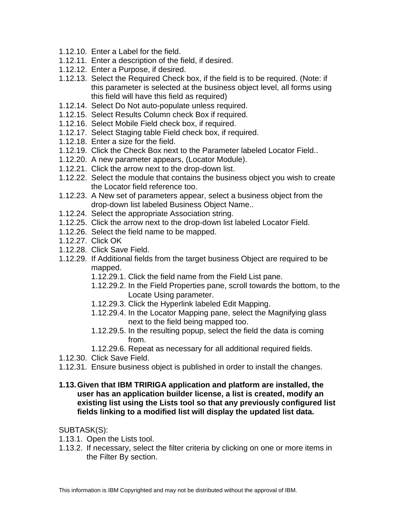- 1.12.10. Enter a Label for the field.
- 1.12.11. Enter a description of the field, if desired.
- 1.12.12. Enter a Purpose, if desired.
- 1.12.13. Select the Required Check box, if the field is to be required. (Note: if this parameter is selected at the business object level, all forms using this field will have this field as required)
- 1.12.14. Select Do Not auto-populate unless required.
- 1.12.15. Select Results Column check Box if required.
- 1.12.16. Select Mobile Field check box, if required.
- 1.12.17. Select Staging table Field check box, if required.
- 1.12.18. Enter a size for the field.
- 1.12.19. Click the Check Box next to the Parameter labeled Locator Field..
- 1.12.20. A new parameter appears, (Locator Module).
- 1.12.21. Click the arrow next to the drop-down list.
- 1.12.22. Select the module that contains the business object you wish to create the Locator field reference too.
- 1.12.23. A New set of parameters appear, select a business object from the drop-down list labeled Business Object Name..
- 1.12.24. Select the appropriate Association string.
- 1.12.25. Click the arrow next to the drop-down list labeled Locator Field.
- 1.12.26. Select the field name to be mapped.
- 1.12.27. Click OK
- 1.12.28. Click Save Field.
- 1.12.29. If Additional fields from the target business Object are required to be mapped.
	- 1.12.29.1. Click the field name from the Field List pane.
	- 1.12.29.2. In the Field Properties pane, scroll towards the bottom, to the Locate Using parameter.
	- 1.12.29.3. Click the Hyperlink labeled Edit Mapping.
	- 1.12.29.4. In the Locator Mapping pane, select the Magnifying glass next to the field being mapped too.
	- 1.12.29.5. In the resulting popup, select the field the data is coming from.
	- 1.12.29.6. Repeat as necessary for all additional required fields.
- 1.12.30. Click Save Field.
- 1.12.31. Ensure business object is published in order to install the changes.
- **1.13.Given that IBM TRIRIGA application and platform are installed, the user has an application builder license, a list is created, modify an existing list using the Lists tool so that any previously configured list fields linking to a modified list will display the updated list data.**

- 1.13.1. Open the Lists tool.
- 1.13.2. If necessary, select the filter criteria by clicking on one or more items in the Filter By section.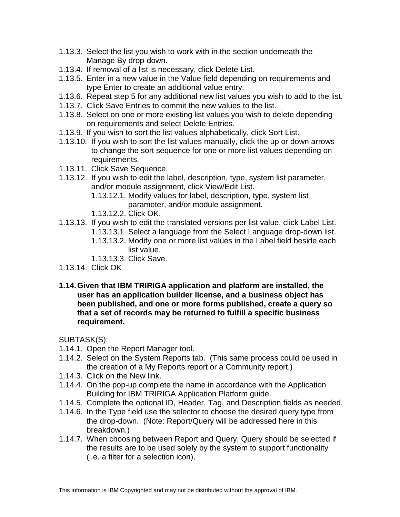- 1.13.3. Select the list you wish to work with in the section underneath the Manage By drop-down.
- 1.13.4. If removal of a list is necessary, click Delete List.
- 1.13.5. Enter in a new value in the Value field depending on requirements and type Enter to create an additional value entry.
- 1.13.6. Repeat step 5 for any additional new list values you wish to add to the list.
- 1.13.7. Click Save Entries to commit the new values to the list.
- 1.13.8. Select on one or more existing list values you wish to delete depending on requirements and select Delete Entries.
- 1.13.9. If you wish to sort the list values alphabetically, click Sort List.
- 1.13.10. If you wish to sort the list values manually, click the up or down arrows to change the sort sequence for one or more list values depending on requirements.
- 1.13.11. Click Save Sequence.
- 1.13.12. If you wish to edit the label, description, type, system list parameter, and/or module assignment, click View/Edit List.
	- 1.13.12.1. Modify values for label, description, type, system list parameter, and/or module assignment.
	- 1.13.12.2. Click OK.
- 1.13.13. If you wish to edit the translated versions per list value, click Label List.
	- 1.13.13.1. Select a language from the Select Language drop-down list.
		- 1.13.13.2. Modify one or more list values in the Label field beside each list value.
		- 1.13.13.3. Click Save.
- 1.13.14. Click OK
- **1.14.Given that IBM TRIRIGA application and platform are installed, the user has an application builder license, and a business object has been published, and one or more forms published, create a query so that a set of records may be returned to fulfill a specific business requirement.**

- 1.14.1. Open the Report Manager tool.
- 1.14.2. Select on the System Reports tab. (This same process could be used in the creation of a My Reports report or a Community report.)
- 1.14.3. Click on the New link.
- 1.14.4. On the pop-up complete the name in accordance with the Application Building for IBM TRIRIGA Application Platform guide.
- 1.14.5. Complete the optional ID, Header, Tag, and Description fields as needed.
- 1.14.6. In the Type field use the selector to choose the desired query type from the drop-down. (Note: Report/Query will be addressed here in this breakdown.)
- 1.14.7. When choosing between Report and Query, Query should be selected if the results are to be used solely by the system to support functionality (i.e. a filter for a selection icon).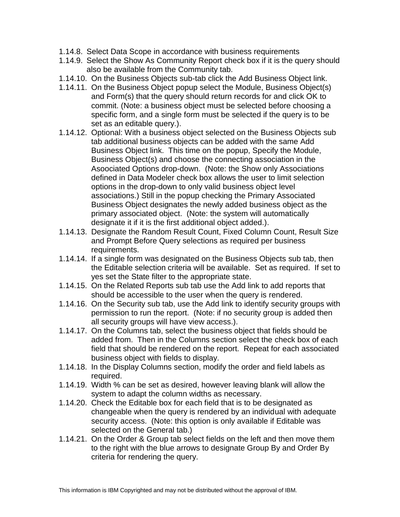- 1.14.8. Select Data Scope in accordance with business requirements
- 1.14.9. Select the Show As Community Report check box if it is the query should also be available from the Community tab.
- 1.14.10. On the Business Objects sub-tab click the Add Business Object link.
- 1.14.11. On the Business Object popup select the Module, Business Object(s) and Form(s) that the query should return records for and click OK to commit. (Note: a business object must be selected before choosing a specific form, and a single form must be selected if the query is to be set as an editable query.).
- 1.14.12. Optional: With a business object selected on the Business Objects sub tab additional business objects can be added with the same Add Business Object link. This time on the popup, Specify the Module, Business Object(s) and choose the connecting association in the Asoociated Options drop-down. (Note: the Show only Associations defined in Data Modeler check box allows the user to limit selection options in the drop-down to only valid business object level associations.) Still in the popup checking the Primary Associated Business Object designates the newly added business object as the primary associated object. (Note: the system will automatically designate it if it is the first additional object added.).
- 1.14.13. Designate the Random Result Count, Fixed Column Count, Result Size and Prompt Before Query selections as required per business requirements.
- 1.14.14. If a single form was designated on the Business Objects sub tab, then the Editable selection criteria will be available. Set as required. If set to yes set the State filter to the appropriate state.
- 1.14.15. On the Related Reports sub tab use the Add link to add reports that should be accessible to the user when the query is rendered.
- 1.14.16. On the Security sub tab, use the Add link to identify security groups with permission to run the report. (Note: if no security group is added then all security groups will have view access.).
- 1.14.17. On the Columns tab, select the business object that fields should be added from. Then in the Columns section select the check box of each field that should be rendered on the report. Repeat for each associated business object with fields to display.
- 1.14.18. In the Display Columns section, modify the order and field labels as required.
- 1.14.19. Width % can be set as desired, however leaving blank will allow the system to adapt the column widths as necessary.
- 1.14.20. Check the Editable box for each field that is to be designated as changeable when the query is rendered by an individual with adequate security access. (Note: this option is only available if Editable was selected on the General tab.)
- 1.14.21. On the Order & Group tab select fields on the left and then move them to the right with the blue arrows to designate Group By and Order By criteria for rendering the query.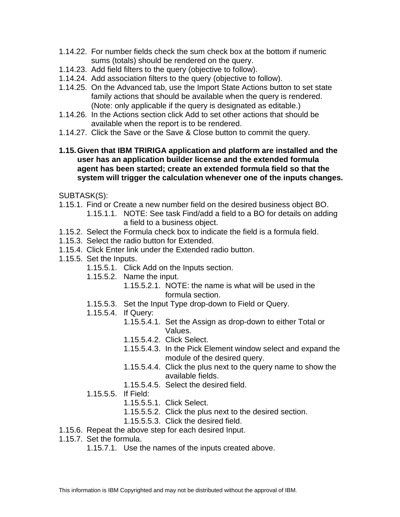- 1.14.22. For number fields check the sum check box at the bottom if numeric sums (totals) should be rendered on the query.
- 1.14.23. Add field filters to the query (objective to follow).
- 1.14.24. Add association filters to the query (objective to follow).
- 1.14.25. On the Advanced tab, use the Import State Actions button to set state family actions that should be available when the query is rendered. (Note: only applicable if the query is designated as editable.)
- 1.14.26. In the Actions section click Add to set other actions that should be available when the report is to be rendered.
- 1.14.27. Click the Save or the Save & Close button to commit the query.

**1.15.Given that IBM TRIRIGA application and platform are installed and the user has an application builder license and the extended formula agent has been started; create an extended formula field so that the system will trigger the calculation whenever one of the inputs changes.**

- 1.15.1. Find or Create a new number field on the desired business object BO.
	- 1.15.1.1. NOTE: See task Find/add a field to a BO for details on adding a field to a business object.
- 1.15.2. Select the Formula check box to indicate the field is a formula field.
- 1.15.3. Select the radio button for Extended.
- 1.15.4. Click Enter link under the Extended radio button.
- 1.15.5. Set the Inputs.
	- 1.15.5.1. Click Add on the Inputs section.
	- 1.15.5.2. Name the input.
		- 1.15.5.2.1. NOTE: the name is what will be used in the formula section.
	- 1.15.5.3. Set the Input Type drop-down to Field or Query.
	- 1.15.5.4. If Query:
		- 1.15.5.4.1. Set the Assign as drop-down to either Total or Values.
		- 1.15.5.4.2. Click Select.
		- 1.15.5.4.3. In the Pick Element window select and expand the module of the desired query.
		- 1.15.5.4.4. Click the plus next to the query name to show the available fields.
		- 1.15.5.4.5. Select the desired field.
	- 1.15.5.5. If Field:
		- 1.15.5.5.1. Click Select.
		- 1.15.5.5.2. Click the plus next to the desired section.
		- 1.15.5.5.3. Click the desired field.
- 1.15.6. Repeat the above step for each desired Input.
- 1.15.7. Set the formula.
	- 1.15.7.1. Use the names of the inputs created above.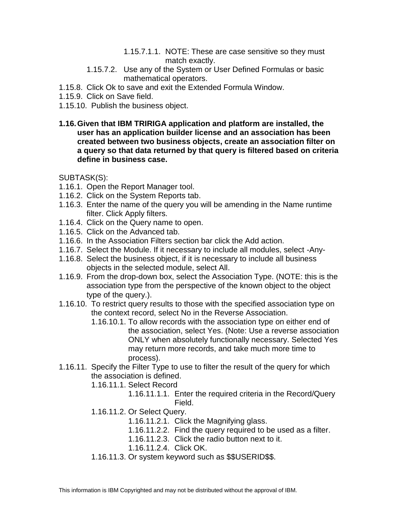- 1.15.7.1.1. NOTE: These are case sensitive so they must match exactly.
- 1.15.7.2. Use any of the System or User Defined Formulas or basic mathematical operators.
- 1.15.8. Click Ok to save and exit the Extended Formula Window.
- 1.15.9. Click on Save field.
- 1.15.10. Publish the business object.
- **1.16.Given that IBM TRIRIGA application and platform are installed, the user has an application builder license and an association has been created between two business objects, create an association filter on a query so that data returned by that query is filtered based on criteria define in business case.**

- 1.16.1. Open the Report Manager tool.
- 1.16.2. Click on the System Reports tab.
- 1.16.3. Enter the name of the query you will be amending in the Name runtime filter. Click Apply filters.
- 1.16.4. Click on the Query name to open.
- 1.16.5. Click on the Advanced tab.
- 1.16.6. In the Association Filters section bar click the Add action.
- 1.16.7. Select the Module. If it necessary to include all modules, select -Any-
- 1.16.8. Select the business object, if it is necessary to include all business objects in the selected module, select All.
- 1.16.9. From the drop-down box, select the Association Type. (NOTE: this is the association type from the perspective of the known object to the object type of the query.).
- 1.16.10. To restrict query results to those with the specified association type on the context record, select No in the Reverse Association.
	- 1.16.10.1. To allow records with the association type on either end of the association, select Yes. (Note: Use a reverse association ONLY when absolutely functionally necessary. Selected Yes may return more records, and take much more time to process).
- 1.16.11. Specify the Filter Type to use to filter the result of the query for which the association is defined.

1.16.11.1. Select Record

- 1.16.11.1.1. Enter the required criteria in the Record/Query Field.
- 1.16.11.2. Or Select Query.
	- 1.16.11.2.1. Click the Magnifying glass.
	- 1.16.11.2.2. Find the query required to be used as a filter.
	- 1.16.11.2.3. Click the radio button next to it.
	- 1.16.11.2.4. Click OK.
- 1.16.11.3. Or system keyword such as \$\$USERID\$\$.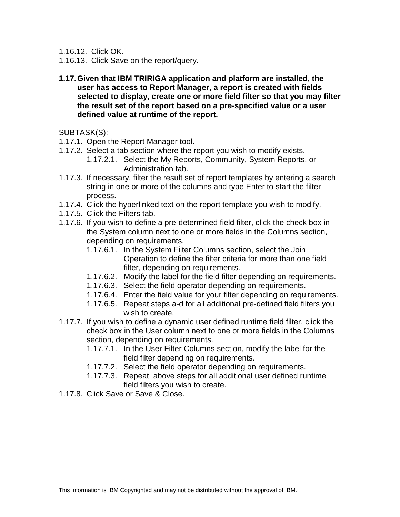1.16.12. Click OK.

- 1.16.13. Click Save on the report/query.
- **1.17.Given that IBM TRIRIGA application and platform are installed, the user has access to Report Manager, a report is created with fields selected to display, create one or more field filter so that you may filter the result set of the report based on a pre-specified value or a user defined value at runtime of the report.**

- 1.17.1. Open the Report Manager tool.
- 1.17.2. Select a tab section where the report you wish to modify exists.
	- 1.17.2.1. Select the My Reports, Community, System Reports, or Administration tab.
- 1.17.3. If necessary, filter the result set of report templates by entering a search string in one or more of the columns and type Enter to start the filter process.
- 1.17.4. Click the hyperlinked text on the report template you wish to modify.
- 1.17.5. Click the Filters tab.
- 1.17.6. If you wish to define a pre-determined field filter, click the check box in the System column next to one or more fields in the Columns section, depending on requirements.
	- 1.17.6.1. In the System Filter Columns section, select the Join Operation to define the filter criteria for more than one field filter, depending on requirements.
	- 1.17.6.2. Modify the label for the field filter depending on requirements.
	- 1.17.6.3. Select the field operator depending on requirements.
	- 1.17.6.4. Enter the field value for your filter depending on requirements.
	- 1.17.6.5. Repeat steps a-d for all additional pre-defined field filters you wish to create.
- 1.17.7. If you wish to define a dynamic user defined runtime field filter, click the check box in the User column next to one or more fields in the Columns section, depending on requirements.
	- 1.17.7.1. In the User Filter Columns section, modify the label for the field filter depending on requirements.
	- 1.17.7.2. Select the field operator depending on requirements.
	- 1.17.7.3. Repeat above steps for all additional user defined runtime field filters you wish to create.
- 1.17.8. Click Save or Save & Close.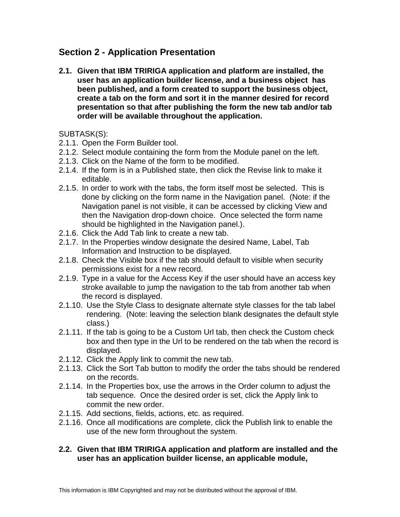# **Section 2 - Application Presentation**

**2.1. Given that IBM TRIRIGA application and platform are installed, the user has an application builder license, and a business object has been published, and a form created to support the business object, create a tab on the form and sort it in the manner desired for record presentation so that after publishing the form the new tab and/or tab order will be available throughout the application.**

## SUBTASK(S):

- 2.1.1. Open the Form Builder tool.
- 2.1.2. Select module containing the form from the Module panel on the left.
- 2.1.3. Click on the Name of the form to be modified.
- 2.1.4. If the form is in a Published state, then click the Revise link to make it editable.
- 2.1.5. In order to work with the tabs, the form itself most be selected. This is done by clicking on the form name in the Navigation panel. (Note: if the Navigation panel is not visible, it can be accessed by clicking View and then the Navigation drop-down choice. Once selected the form name should be highlighted in the Navigation panel.).
- 2.1.6. Click the Add Tab link to create a new tab.
- 2.1.7. In the Properties window designate the desired Name, Label, Tab Information and Instruction to be displayed.
- 2.1.8. Check the Visible box if the tab should default to visible when security permissions exist for a new record.
- 2.1.9. Type in a value for the Access Key if the user should have an access key stroke available to jump the navigation to the tab from another tab when the record is displayed.
- 2.1.10. Use the Style Class to designate alternate style classes for the tab label rendering. (Note: leaving the selection blank designates the default style class.)
- 2.1.11. If the tab is going to be a Custom Url tab, then check the Custom check box and then type in the Url to be rendered on the tab when the record is displayed.
- 2.1.12. Click the Apply link to commit the new tab.
- 2.1.13. Click the Sort Tab button to modify the order the tabs should be rendered on the records.
- 2.1.14. In the Properties box, use the arrows in the Order column to adjust the tab sequence. Once the desired order is set, click the Apply link to commit the new order.
- 2.1.15. Add sections, fields, actions, etc. as required.
- 2.1.16. Once all modifications are complete, click the Publish link to enable the use of the new form throughout the system.

## **2.2. Given that IBM TRIRIGA application and platform are installed and the user has an application builder license, an applicable module,**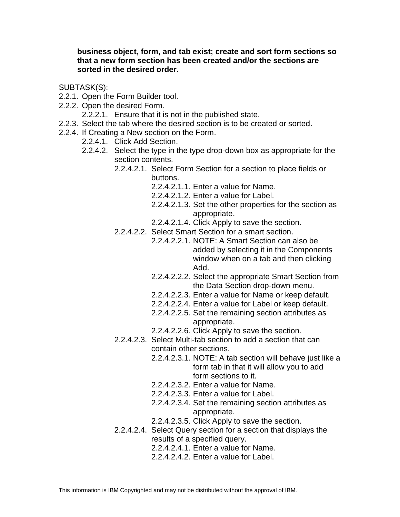**business object, form, and tab exist; create and sort form sections so that a new form section has been created and/or the sections are sorted in the desired order.**

- 2.2.1. Open the Form Builder tool.
- 2.2.2. Open the desired Form.
	- 2.2.2.1. Ensure that it is not in the published state.
- 2.2.3. Select the tab where the desired section is to be created or sorted.
- 2.2.4. If Creating a New section on the Form.
	- 2.2.4.1. Click Add Section.
	- 2.2.4.2. Select the type in the type drop-down box as appropriate for the section contents.
		- 2.2.4.2.1. Select Form Section for a section to place fields or buttons.
			- 2.2.4.2.1.1. Enter a value for Name.
			- 2.2.4.2.1.2. Enter a value for Label.
			- 2.2.4.2.1.3. Set the other properties for the section as appropriate.
			- 2.2.4.2.1.4. Click Apply to save the section.
		- 2.2.4.2.2. Select Smart Section for a smart section.
			- 2.2.4.2.2.1. NOTE: A Smart Section can also be added by selecting it in the Components window when on a tab and then clicking Add.
			- 2.2.4.2.2.2. Select the appropriate Smart Section from the Data Section drop-down menu.
			- 2.2.4.2.2.3. Enter a value for Name or keep default.
			- 2.2.4.2.2.4. Enter a value for Label or keep default.
			- 2.2.4.2.2.5. Set the remaining section attributes as appropriate.
			- 2.2.4.2.2.6. Click Apply to save the section.
		- 2.2.4.2.3. Select Multi-tab section to add a section that can contain other sections.
			- 2.2.4.2.3.1. NOTE: A tab section will behave just like a form tab in that it will allow you to add form sections to it.
			- 2.2.4.2.3.2. Enter a value for Name.
			- 2.2.4.2.3.3. Enter a value for Label.
			- 2.2.4.2.3.4. Set the remaining section attributes as appropriate.
			- 2.2.4.2.3.5. Click Apply to save the section.
		- 2.2.4.2.4. Select Query section for a section that displays the results of a specified query.
			- 2.2.4.2.4.1. Enter a value for Name.
			- 2.2.4.2.4.2. Enter a value for Label.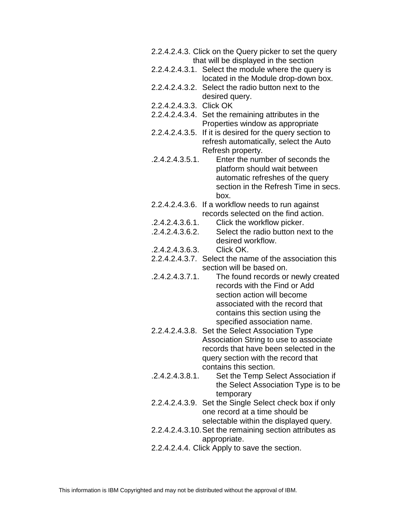2.2.4.2.4.3. Click on the Query picker to set the query that will be displayed in the section 2.2.4.2.4.3.1. Select the module where the query is located in the Module drop-down box. 2.2.4.2.4.3.2. Select the radio button next to the desired query. 2.2.4.2.4.3.3. Click OK 2.2.4.2.4.3.4. Set the remaining attributes in the Properties window as appropriate 2.2.4.2.4.3.5. If it is desired for the query section to refresh automatically, select the Auto Refresh property. .2.4.2.4.3.5.1. Enter the number of seconds the platform should wait between automatic refreshes of the query section in the Refresh Time in secs. box. 2.2.4.2.4.3.6. If a workflow needs to run against records selected on the find action. .2.4.2.4.3.6.1. Click the workflow picker. .2.4.2.4.3.6.2. Select the radio button next to the desired workflow. .2.4.2.4.3.6.3. Click OK. 2.2.4.2.4.3.7. Select the name of the association this section will be based on. .2.4.2.4.3.7.1. The found records or newly created records with the Find or Add section action will become associated with the record that contains this section using the specified association name. 2.2.4.2.4.3.8. Set the Select Association Type Association String to use to associate records that have been selected in the query section with the record that contains this section. .2.4.2.4.3.8.1. Set the Temp Select Association if the Select Association Type is to be temporary 2.2.4.2.4.3.9. Set the Single Select check box if only one record at a time should be selectable within the displayed query. 2.2.4.2.4.3.10.Set the remaining section attributes as appropriate. 2.2.4.2.4.4. Click Apply to save the section.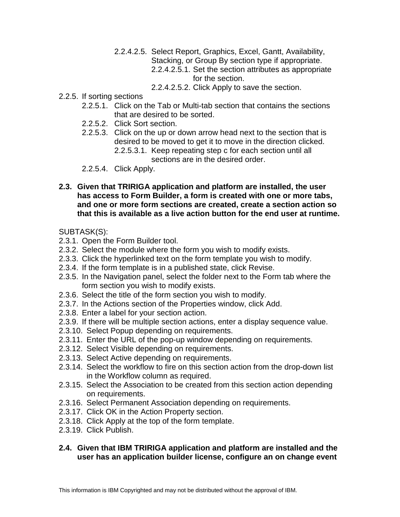- 2.2.4.2.5. Select Report, Graphics, Excel, Gantt, Availability, Stacking, or Group By section type if appropriate.
	- 2.2.4.2.5.1. Set the section attributes as appropriate for the section.
	- 2.2.4.2.5.2. Click Apply to save the section.
- 2.2.5. If sorting sections
	- 2.2.5.1. Click on the Tab or Multi-tab section that contains the sections that are desired to be sorted.
	- 2.2.5.2. Click Sort section.
	- 2.2.5.3. Click on the up or down arrow head next to the section that is desired to be moved to get it to move in the direction clicked. 2.2.5.3.1. Keep repeating step c for each section until all sections are in the desired order.
	- 2.2.5.4. Click Apply.
- **2.3. Given that TRIRIGA application and platform are installed, the user has access to Form Builder, a form is created with one or more tabs, and one or more form sections are created, create a section action so that this is available as a live action button for the end user at runtime.**

- 2.3.1. Open the Form Builder tool.
- 2.3.2. Select the module where the form you wish to modify exists.
- 2.3.3. Click the hyperlinked text on the form template you wish to modify.
- 2.3.4. If the form template is in a published state, click Revise.
- 2.3.5. In the Navigation panel, select the folder next to the Form tab where the form section you wish to modify exists.
- 2.3.6. Select the title of the form section you wish to modify.
- 2.3.7. In the Actions section of the Properties window, click Add.
- 2.3.8. Enter a label for your section action.
- 2.3.9. If there will be multiple section actions, enter a display sequence value.
- 2.3.10. Select Popup depending on requirements.
- 2.3.11. Enter the URL of the pop-up window depending on requirements.
- 2.3.12. Select Visible depending on requirements.
- 2.3.13. Select Active depending on requirements.
- 2.3.14. Select the workflow to fire on this section action from the drop-down list in the Workflow column as required.
- 2.3.15. Select the Association to be created from this section action depending on requirements.
- 2.3.16. Select Permanent Association depending on requirements.
- 2.3.17. Click OK in the Action Property section.
- 2.3.18. Click Apply at the top of the form template.
- 2.3.19. Click Publish.

## **2.4. Given that IBM TRIRIGA application and platform are installed and the user has an application builder license, configure an on change event**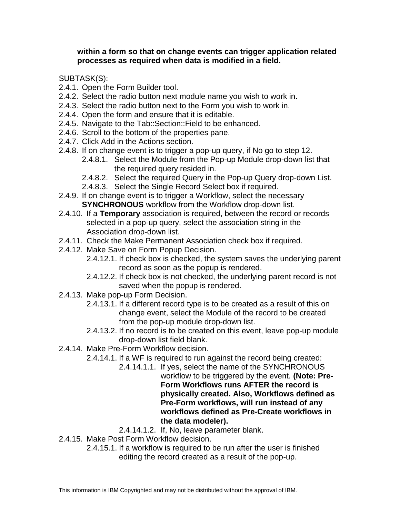#### **within a form so that on change events can trigger application related processes as required when data is modified in a field.**

- 2.4.1. Open the Form Builder tool.
- 2.4.2. Select the radio button next module name you wish to work in.
- 2.4.3. Select the radio button next to the Form you wish to work in.
- 2.4.4. Open the form and ensure that it is editable.
- 2.4.5. Navigate to the Tab::Section::Field to be enhanced.
- 2.4.6. Scroll to the bottom of the properties pane.
- 2.4.7. Click Add in the Actions section.
- 2.4.8. If on change event is to trigger a pop-up query, if No go to step 12.
	- 2.4.8.1. Select the Module from the Pop-up Module drop-down list that the required query resided in.
	- 2.4.8.2. Select the required Query in the Pop-up Query drop-down List.
	- 2.4.8.3. Select the Single Record Select box if required.
- 2.4.9. If on change event is to trigger a Workflow, select the necessary **SYNCHRONOUS** workflow from the Workflow drop-down list.
- 2.4.10. If a **Temporary** association is required, between the record or records selected in a pop-up query, select the association string in the Association drop-down list.
- 2.4.11. Check the Make Permanent Association check box if required.
- 2.4.12. Make Save on Form Popup Decision.
	- 2.4.12.1. If check box is checked, the system saves the underlying parent record as soon as the popup is rendered.
	- 2.4.12.2. If check box is not checked, the underlying parent record is not saved when the popup is rendered.
- 2.4.13. Make pop-up Form Decision.
	- 2.4.13.1. If a different record type is to be created as a result of this on change event, select the Module of the record to be created from the pop-up module drop-down list.
	- 2.4.13.2. If no record is to be created on this event, leave pop-up module drop-down list field blank.
- 2.4.14. Make Pre-Form Workflow decision.
	- 2.4.14.1. If a WF is required to run against the record being created:
		- 2.4.14.1.1. If yes, select the name of the SYNCHRONOUS workflow to be triggered by the event. **(Note: Pre-Form Workflows runs AFTER the record is physically created. Also, Workflows defined as Pre-Form workflows, will run instead of any workflows defined as Pre-Create workflows in the data modeler).**
		- 2.4.14.1.2. If, No, leave parameter blank.
- 2.4.15. Make Post Form Workflow decision.
	- 2.4.15.1. If a workflow is required to be run after the user is finished editing the record created as a result of the pop-up.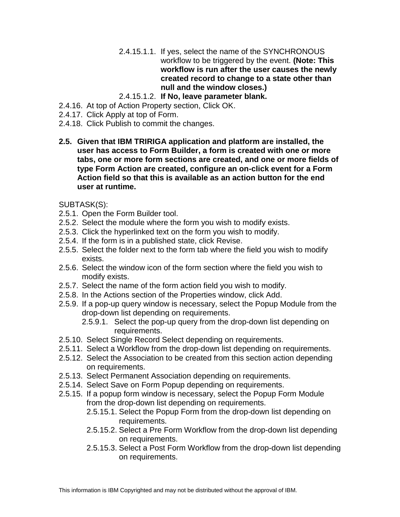2.4.15.1.1. If yes, select the name of the SYNCHRONOUS workflow to be triggered by the event. **(Note: This workflow is run after the user causes the newly created record to change to a state other than null and the window closes.)**

## 2.4.15.1.2. **If No, leave parameter blank.**

- 2.4.16. At top of Action Property section, Click OK.
- 2.4.17. Click Apply at top of Form.
- 2.4.18. Click Publish to commit the changes.
- **2.5. Given that IBM TRIRIGA application and platform are installed, the user has access to Form Builder, a form is created with one or more tabs, one or more form sections are created, and one or more fields of type Form Action are created, configure an on-click event for a Form Action field so that this is available as an action button for the end user at runtime.**

- 2.5.1. Open the Form Builder tool.
- 2.5.2. Select the module where the form you wish to modify exists.
- 2.5.3. Click the hyperlinked text on the form you wish to modify.
- 2.5.4. If the form is in a published state, click Revise.
- 2.5.5. Select the folder next to the form tab where the field you wish to modify exists.
- 2.5.6. Select the window icon of the form section where the field you wish to modify exists.
- 2.5.7. Select the name of the form action field you wish to modify.
- 2.5.8. In the Actions section of the Properties window, click Add.
- 2.5.9. If a pop-up query window is necessary, select the Popup Module from the drop-down list depending on requirements.
	- 2.5.9.1. Select the pop-up query from the drop-down list depending on requirements.
- 2.5.10. Select Single Record Select depending on requirements.
- 2.5.11. Select a Workflow from the drop-down list depending on requirements.
- 2.5.12. Select the Association to be created from this section action depending on requirements.
- 2.5.13. Select Permanent Association depending on requirements.
- 2.5.14. Select Save on Form Popup depending on requirements.
- 2.5.15. If a popup form window is necessary, select the Popup Form Module from the drop-down list depending on requirements.
	- 2.5.15.1. Select the Popup Form from the drop-down list depending on requirements.
	- 2.5.15.2. Select a Pre Form Workflow from the drop-down list depending on requirements.
	- 2.5.15.3. Select a Post Form Workflow from the drop-down list depending on requirements.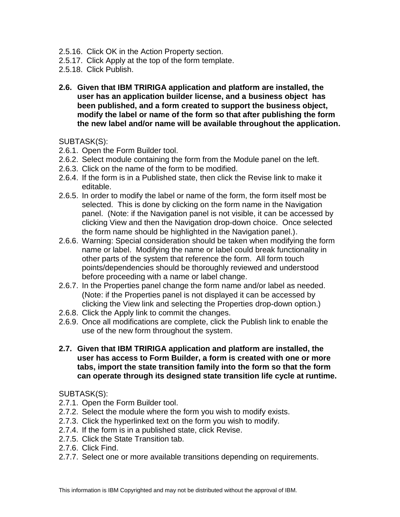- 2.5.16. Click OK in the Action Property section.
- 2.5.17. Click Apply at the top of the form template.
- 2.5.18. Click Publish.
- **2.6. Given that IBM TRIRIGA application and platform are installed, the user has an application builder license, and a business object has been published, and a form created to support the business object, modify the label or name of the form so that after publishing the form the new label and/or name will be available throughout the application.**

- 2.6.1. Open the Form Builder tool.
- 2.6.2. Select module containing the form from the Module panel on the left.
- 2.6.3. Click on the name of the form to be modified.
- 2.6.4. If the form is in a Published state, then click the Revise link to make it editable.
- 2.6.5. In order to modify the label or name of the form, the form itself most be selected. This is done by clicking on the form name in the Navigation panel. (Note: if the Navigation panel is not visible, it can be accessed by clicking View and then the Navigation drop-down choice. Once selected the form name should be highlighted in the Navigation panel.).
- 2.6.6. Warning: Special consideration should be taken when modifying the form name or label. Modifying the name or label could break functionality in other parts of the system that reference the form. All form touch points/dependencies should be thoroughly reviewed and understood before proceeding with a name or label change.
- 2.6.7. In the Properties panel change the form name and/or label as needed. (Note: if the Properties panel is not displayed it can be accessed by clicking the View link and selecting the Properties drop-down option.)
- 2.6.8. Click the Apply link to commit the changes.
- 2.6.9. Once all modifications are complete, click the Publish link to enable the use of the new form throughout the system.
- **2.7. Given that IBM TRIRIGA application and platform are installed, the user has access to Form Builder, a form is created with one or more tabs, import the state transition family into the form so that the form can operate through its designed state transition life cycle at runtime.**

- 2.7.1. Open the Form Builder tool.
- 2.7.2. Select the module where the form you wish to modify exists.
- 2.7.3. Click the hyperlinked text on the form you wish to modify.
- 2.7.4. If the form is in a published state, click Revise.
- 2.7.5. Click the State Transition tab.
- 2.7.6. Click Find.
- 2.7.7. Select one or more available transitions depending on requirements.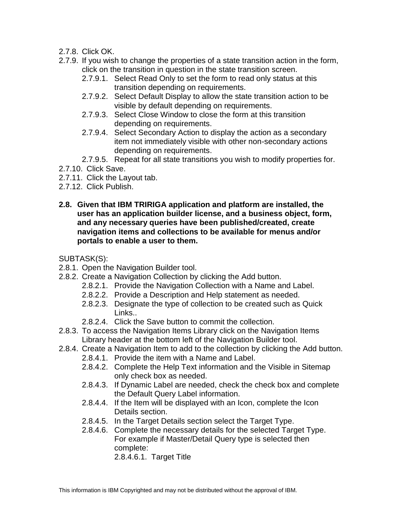- 2.7.8. Click OK.
- 2.7.9. If you wish to change the properties of a state transition action in the form, click on the transition in question in the state transition screen.
	- 2.7.9.1. Select Read Only to set the form to read only status at this transition depending on requirements.
	- 2.7.9.2. Select Default Display to allow the state transition action to be visible by default depending on requirements.
	- 2.7.9.3. Select Close Window to close the form at this transition depending on requirements.
	- 2.7.9.4. Select Secondary Action to display the action as a secondary item not immediately visible with other non-secondary actions depending on requirements.
	- 2.7.9.5. Repeat for all state transitions you wish to modify properties for.

2.7.10. Click Save.

- 2.7.11. Click the Layout tab.
- 2.7.12. Click Publish.
- **2.8. Given that IBM TRIRIGA application and platform are installed, the user has an application builder license, and a business object, form, and any necessary queries have been published/created, create navigation items and collections to be available for menus and/or portals to enable a user to them.**

SUBTASK(S):

- 2.8.1. Open the Navigation Builder tool.
- 2.8.2. Create a Navigation Collection by clicking the Add button.
	- 2.8.2.1. Provide the Navigation Collection with a Name and Label.
	- 2.8.2.2. Provide a Description and Help statement as needed.
	- 2.8.2.3. Designate the type of collection to be created such as Quick Links..
	- 2.8.2.4. Click the Save button to commit the collection.
- 2.8.3. To access the Navigation Items Library click on the Navigation Items Library header at the bottom left of the Navigation Builder tool.
- 2.8.4. Create a Navigation Item to add to the collection by clicking the Add button.
	- 2.8.4.1. Provide the item with a Name and Label.
	- 2.8.4.2. Complete the Help Text information and the Visible in Sitemap only check box as needed.
	- 2.8.4.3. If Dynamic Label are needed, check the check box and complete the Default Query Label information.
	- 2.8.4.4. If the Item will be displayed with an Icon, complete the Icon Details section.
	- 2.8.4.5. In the Target Details section select the Target Type.
	- 2.8.4.6. Complete the necessary details for the selected Target Type. For example if Master/Detail Query type is selected then complete:

2.8.4.6.1. Target Title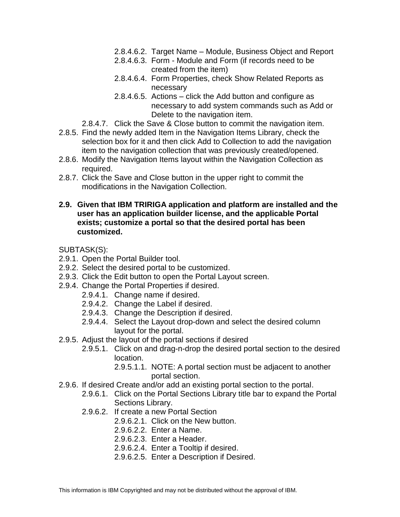- 2.8.4.6.2. Target Name Module, Business Object and Report
- 2.8.4.6.3. Form Module and Form (if records need to be created from the item)
- 2.8.4.6.4. Form Properties, check Show Related Reports as necessary
- 2.8.4.6.5. Actions click the Add button and configure as necessary to add system commands such as Add or Delete to the navigation item.
- 2.8.4.7. Click the Save & Close button to commit the navigation item.
- 2.8.5. Find the newly added Item in the Navigation Items Library, check the selection box for it and then click Add to Collection to add the navigation item to the navigation collection that was previously created/opened.
- 2.8.6. Modify the Navigation Items layout within the Navigation Collection as required.
- 2.8.7. Click the Save and Close button in the upper right to commit the modifications in the Navigation Collection.
- **2.9. Given that IBM TRIRIGA application and platform are installed and the user has an application builder license, and the applicable Portal exists; customize a portal so that the desired portal has been customized.**

- 2.9.1. Open the Portal Builder tool.
- 2.9.2. Select the desired portal to be customized.
- 2.9.3. Click the Edit button to open the Portal Layout screen.
- 2.9.4. Change the Portal Properties if desired.
	- 2.9.4.1. Change name if desired.
	- 2.9.4.2. Change the Label if desired.
	- 2.9.4.3. Change the Description if desired.
	- 2.9.4.4. Select the Layout drop-down and select the desired column layout for the portal.
- 2.9.5. Adjust the layout of the portal sections if desired
	- 2.9.5.1. Click on and drag-n-drop the desired portal section to the desired location.
		- 2.9.5.1.1. NOTE: A portal section must be adjacent to another portal section.
- 2.9.6. If desired Create and/or add an existing portal section to the portal.
	- 2.9.6.1. Click on the Portal Sections Library title bar to expand the Portal Sections Library.
	- 2.9.6.2. If create a new Portal Section
		- 2.9.6.2.1. Click on the New button.
		- 2.9.6.2.2. Enter a Name.
		- 2.9.6.2.3. Enter a Header.
		- 2.9.6.2.4. Enter a Tooltip if desired.
		- 2.9.6.2.5. Enter a Description if Desired.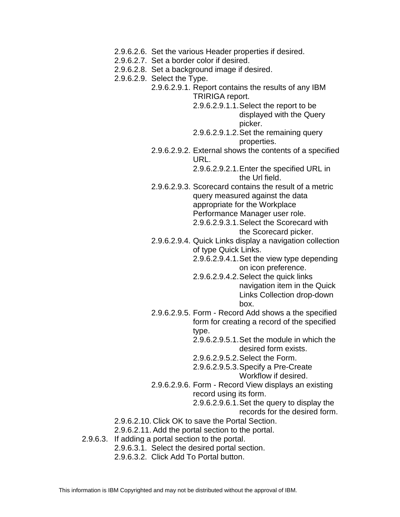- 2.9.6.2.6. Set the various Header properties if desired.
- 2.9.6.2.7. Set a border color if desired.
- 2.9.6.2.8. Set a background image if desired.
- 2.9.6.2.9. Select the Type.
	- 2.9.6.2.9.1. Report contains the results of any IBM TRIRIGA report.
		- 2.9.6.2.9.1.1.Select the report to be displayed with the Query picker.
		- 2.9.6.2.9.1.2.Set the remaining query properties.
		- 2.9.6.2.9.2. External shows the contents of a specified URL.
			- 2.9.6.2.9.2.1.Enter the specified URL in the Url field.
		- 2.9.6.2.9.3. Scorecard contains the result of a metric query measured against the data appropriate for the Workplace Performance Manager user role.
			- 2.9.6.2.9.3.1.Select the Scorecard with the Scorecard picker.
		- 2.9.6.2.9.4. Quick Links display a navigation collection of type Quick Links.
			- 2.9.6.2.9.4.1.Set the view type depending on icon preference.
			- 2.9.6.2.9.4.2.Select the quick links
				- navigation item in the Quick Links Collection drop-down box.
		- 2.9.6.2.9.5. Form Record Add shows a the specified form for creating a record of the specified type.
			- 2.9.6.2.9.5.1.Set the module in which the desired form exists.
			- 2.9.6.2.9.5.2.Select the Form.
			- 2.9.6.2.9.5.3.Specify a Pre-Create Workflow if desired.
		- 2.9.6.2.9.6. Form Record View displays an existing record using its form.
			- 2.9.6.2.9.6.1.Set the query to display the
				- records for the desired form.
- 2.9.6.2.10. Click OK to save the Portal Section.
- 2.9.6.2.11. Add the portal section to the portal.
- 2.9.6.3. If adding a portal section to the portal.
	- 2.9.6.3.1. Select the desired portal section.
		- 2.9.6.3.2. Click Add To Portal button.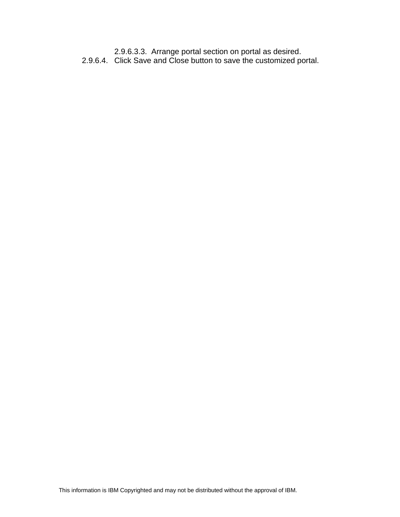2.9.6.3.3. Arrange portal section on portal as desired.

2.9.6.4. Click Save and Close button to save the customized portal.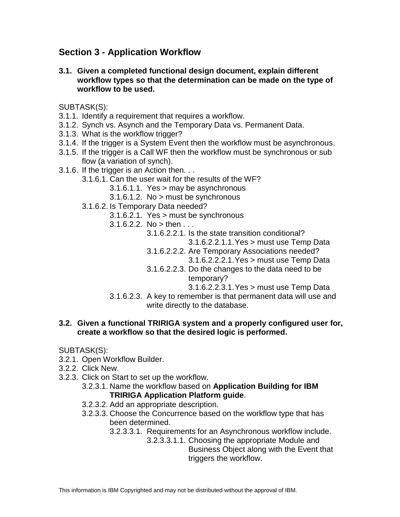# **Section 3 - Application Workflow**

**3.1. Given a completed functional design document, explain different workflow types so that the determination can be made on the type of workflow to be used.**

SUBTASK(S):

- 3.1.1. Identify a requirement that requires a workflow.
- 3.1.2. Synch vs. Asynch and the Temporary Data vs. Permanent Data.
- 3.1.3. What is the workflow trigger?
- 3.1.4. If the trigger is a System Event then the workflow must be asynchronous.
- 3.1.5. If the trigger is a Call WF then the workflow must be synchronous or sub flow (a variation of synch).
- 3.1.6. If the trigger is an Action then. . .
	- 3.1.6.1. Can the user wait for the results of the WF?
		- 3.1.6.1.1. Yes > may be asynchronous
		- 3.1.6.1.2. No > must be synchronous
		- 3.1.6.2. Is Temporary Data needed?
			- 3.1.6.2.1. Yes > must be synchronous
			- $3.1.6.2.2.$  No  $>$  then ...
				- 3.1.6.2.2.1. Is the state transition conditional?
					- 3.1.6.2.2.1.1.Yes > must use Temp Data
				- 3.1.6.2.2.2. Are Temporary Associations needed?
					- 3.1.6.2.2.2.1.Yes > must use Temp Data
				- 3.1.6.2.2.3. Do the changes to the data need to be temporary?
					- 3.1.6.2.2.3.1.Yes > must use Temp Data
			- 3.1.6.2.3. A key to remember is that permanent data will use and write directly to the database.

#### **3.2. Given a functional TRIRIGA system and a properly configured user for, create a workflow so that the desired logic is performed.**

- 3.2.1. Open Workflow Builder.
- 3.2.2. Click New.
- 3.2.3. Click on Start to set up the workflow.
	- 3.2.3.1. Name the workflow based on **Application Building for IBM TRIRIGA Application Platform guide**.
	- 3.2.3.2. Add an appropriate description.
	- 3.2.3.3. Choose the Concurrence based on the workflow type that has been determined.
		- 3.2.3.3.1. Requirements for an Asynchronous workflow include.
			- 3.2.3.3.1.1. Choosing the appropriate Module and Business Object along with the Event that triggers the workflow.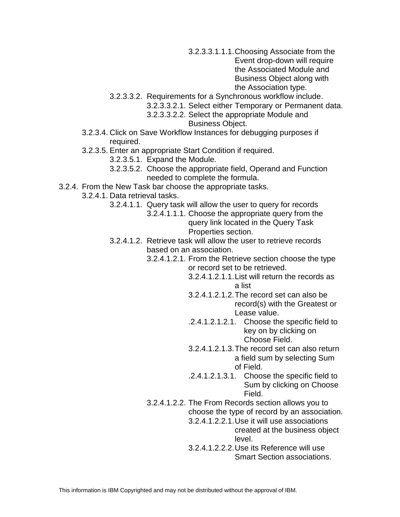- 3.2.3.3.1.1.1.Choosing Associate from the Event drop-down will require the Associated Module and Business Object along with the Association type.
- 3.2.3.3.2. Requirements for a Synchronous workflow include.
	- 3.2.3.3.2.1. Select either Temporary or Permanent data.
	- 3.2.3.3.2.2. Select the appropriate Module and Business Object.
- 3.2.3.4. Click on Save Workflow Instances for debugging purposes if required.
- 3.2.3.5. Enter an appropriate Start Condition if required.
	- 3.2.3.5.1. Expand the Module.
	- 3.2.3.5.2. Choose the appropriate field, Operand and Function needed to complete the formula.
- 3.2.4. From the New Task bar choose the appropriate tasks.
	- 3.2.4.1. Data retrieval tasks.
		- 3.2.4.1.1. Query task will allow the user to query for records
			- 3.2.4.1.1.1. Choose the appropriate query from the query link located in the Query Task Properties section.
		- 3.2.4.1.2. Retrieve task will allow the user to retrieve records based on an association.
			- 3.2.4.1.2.1. From the Retrieve section choose the type or record set to be retrieved.
				- 3.2.4.1.2.1.1.List will return the records as a list
				- 3.2.4.1.2.1.2.The record set can also be record(s) with the Greatest or Lease value.
				- .2.4.1.2.1.2.1. Choose the specific field to key on by clicking on Choose Field.
				- 3.2.4.1.2.1.3.The record set can also return a field sum by selecting Sum of Field.
				- .2.4.1.2.1.3.1. Choose the specific field to Sum by clicking on Choose Field.
			- 3.2.4.1.2.2. The From Records section allows you to
				- choose the type of record by an association.
				- 3.2.4.1.2.2.1.Use it will use associations created at the business object level.
				- 3.2.4.1.2.2.2.Use its Reference will use Smart Section associations.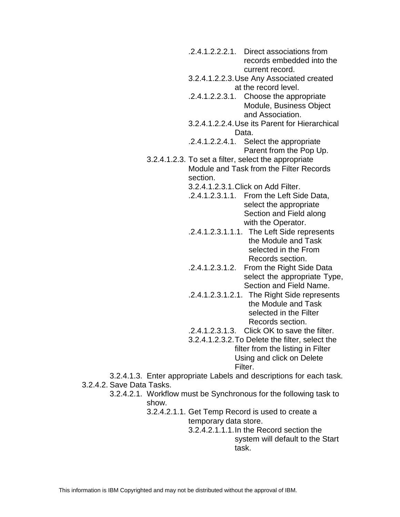- .2.4.1.2.2.2.1. Direct associations from records embedded into the current record.
- 3.2.4.1.2.2.3.Use Any Associated created at the record level.
- .2.4.1.2.2.3.1. Choose the appropriate Module, Business Object and Association.
- 3.2.4.1.2.2.4.Use its Parent for Hierarchical Data.
- .2.4.1.2.2.4.1. Select the appropriate Parent from the Pop Up.
- 3.2.4.1.2.3. To set a filter, select the appropriate Module and Task from the Filter Records section.
	- 3.2.4.1.2.3.1.Click on Add Filter.
	- .2.4.1.2.3.1.1. From the Left Side Data, select the appropriate Section and Field along with the Operator.
	- .2.4.1.2.3.1.1.1. The Left Side represents the Module and Task selected in the From Records section.
	- .2.4.1.2.3.1.2. From the Right Side Data select the appropriate Type, Section and Field Name.
	- .2.4.1.2.3.1.2.1. The Right Side represents the Module and Task selected in the Filter Records section.
	- .2.4.1.2.3.1.3. Click OK to save the filter.
	- 3.2.4.1.2.3.2.To Delete the filter, select the filter from the listing in Filter Using and click on Delete Filter.
- 3.2.4.1.3. Enter appropriate Labels and descriptions for each task. 3.2.4.2. Save Data Tasks.
	- 3.2.4.2.1. Workflow must be Synchronous for the following task to show.
		- 3.2.4.2.1.1. Get Temp Record is used to create a temporary data store.
			- 3.2.4.2.1.1.1.In the Record section the system will default to the Start task.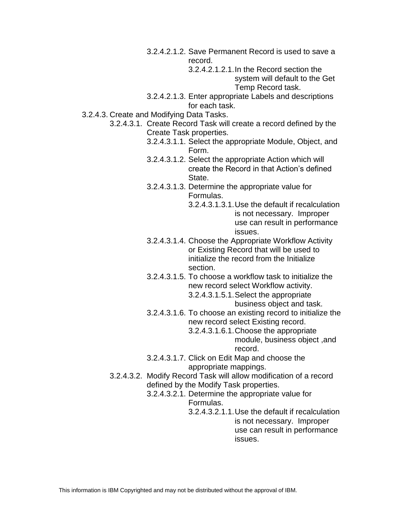- 3.2.4.2.1.2. Save Permanent Record is used to save a record.
	- 3.2.4.2.1.2.1.In the Record section the system will default to the Get

Temp Record task.

- 3.2.4.2.1.3. Enter appropriate Labels and descriptions for each task.
- 3.2.4.3. Create and Modifying Data Tasks.
	- 3.2.4.3.1. Create Record Task will create a record defined by the Create Task properties.
		- 3.2.4.3.1.1. Select the appropriate Module, Object, and Form.
		- 3.2.4.3.1.2. Select the appropriate Action which will create the Record in that Action's defined State.
		- 3.2.4.3.1.3. Determine the appropriate value for Formulas.
			- 3.2.4.3.1.3.1.Use the default if recalculation is not necessary. Improper use can result in performance issues.
		- 3.2.4.3.1.4. Choose the Appropriate Workflow Activity or Existing Record that will be used to initialize the record from the Initialize section.
		- 3.2.4.3.1.5. To choose a workflow task to initialize the new record select Workflow activity. 3.2.4.3.1.5.1.Select the appropriate

business object and task.

3.2.4.3.1.6. To choose an existing record to initialize the new record select Existing record.

3.2.4.3.1.6.1.Choose the appropriate module, business object ,and record.

- 3.2.4.3.1.7. Click on Edit Map and choose the appropriate mappings.
- 3.2.4.3.2. Modify Record Task will allow modification of a record
	- defined by the Modify Task properties.
		- 3.2.4.3.2.1. Determine the appropriate value for Formulas.
			- 3.2.4.3.2.1.1.Use the default if recalculation is not necessary. Improper use can result in performance issues.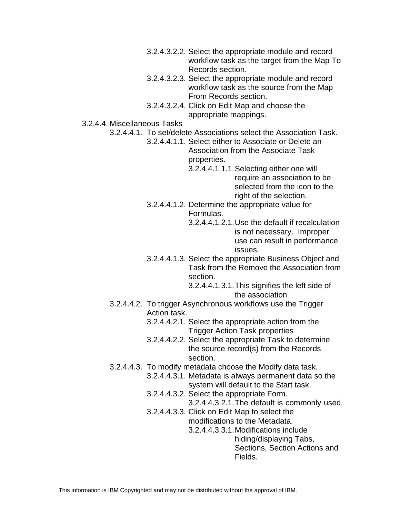- 3.2.4.3.2.2. Select the appropriate module and record workflow task as the target from the Map To Records section.
- 3.2.4.3.2.3. Select the appropriate module and record workflow task as the source from the Map From Records section.
- 3.2.4.3.2.4. Click on Edit Map and choose the appropriate mappings.
- 3.2.4.4. Miscellaneous Tasks
	- 3.2.4.4.1. To set/delete Associations select the Association Task.
		- 3.2.4.4.1.1. Select either to Associate or Delete an Association from the Associate Task properties.
			- 3.2.4.4.1.1.1.Selecting either one will require an association to be selected from the icon to the right of the selection.
		- 3.2.4.4.1.2. Determine the appropriate value for Formulas.
			- 3.2.4.4.1.2.1.Use the default if recalculation is not necessary. Improper use can result in performance issues.
		- 3.2.4.4.1.3. Select the appropriate Business Object and Task from the Remove the Association from section.
			- 3.2.4.4.1.3.1.This signifies the left side of the association
	- 3.2.4.4.2. To trigger Asynchronous workflows use the Trigger Action task.
		- 3.2.4.4.2.1. Select the appropriate action from the Trigger Action Task properties
		- 3.2.4.4.2.2. Select the appropriate Task to determine the source record(s) from the Records section.
	- 3.2.4.4.3. To modify metadata choose the Modify data task.
		- 3.2.4.4.3.1. Metadata is always permanent data so the system will default to the Start task.
		- 3.2.4.4.3.2. Select the appropriate Form.
			- 3.2.4.4.3.2.1.The default is commonly used.
		- 3.2.4.4.3.3. Click on Edit Map to select the modifications to the Metadata.
			- 3.2.4.4.3.3.1.Modifications include

hiding/displaying Tabs, Sections, Section Actions and

Fields.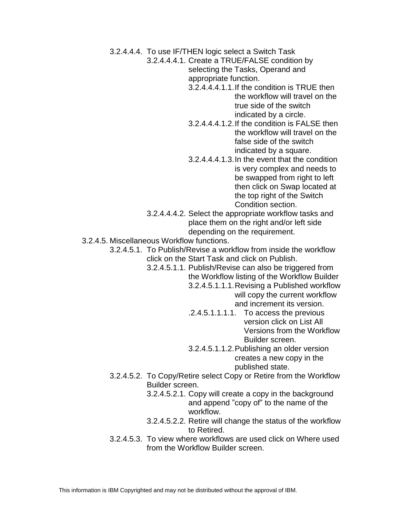3.2.4.4.4. To use IF/THEN logic select a Switch Task

3.2.4.4.4.1. Create a TRUE/FALSE condition by selecting the Tasks, Operand and appropriate function.

- 3.2.4.4.4.1.1.If the condition is TRUE then the workflow will travel on the true side of the switch indicated by a circle.
- 3.2.4.4.4.1.2.If the condition is FALSE then the workflow will travel on the false side of the switch indicated by a square.
- 3.2.4.4.4.1.3.In the event that the condition is very complex and needs to be swapped from right to left then click on Swap located at the top right of the Switch Condition section.
- 3.2.4.4.4.2. Select the appropriate workflow tasks and place them on the right and/or left side depending on the requirement.
- 3.2.4.5. Miscellaneous Workflow functions.
	- 3.2.4.5.1. To Publish/Revise a workflow from inside the workflow click on the Start Task and click on Publish.
		- 3.2.4.5.1.1. Publish/Revise can also be triggered from
			- the Workflow listing of the Workflow Builder
				- 3.2.4.5.1.1.1.Revising a Published workflow will copy the current workflow and increment its version.
				- .2.4.5.1.1.1.1. To access the previous version click on List All Versions from the Workflow Builder screen.
				- 3.2.4.5.1.1.2.Publishing an older version creates a new copy in the published state.
	- 3.2.4.5.2. To Copy/Retire select Copy or Retire from the Workflow Builder screen.
		- 3.2.4.5.2.1. Copy will create a copy in the background and append "copy of" to the name of the workflow.
		- 3.2.4.5.2.2. Retire will change the status of the workflow to Retired.
	- 3.2.4.5.3. To view where workflows are used click on Where used from the Workflow Builder screen.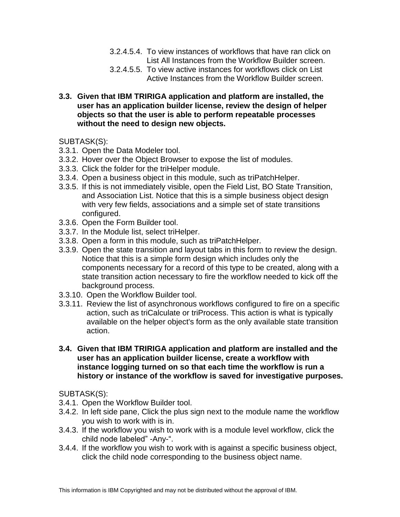- 3.2.4.5.4. To view instances of workflows that have ran click on List All Instances from the Workflow Builder screen.
- 3.2.4.5.5. To view active instances for workflows click on List Active Instances from the Workflow Builder screen.
- **3.3. Given that IBM TRIRIGA application and platform are installed, the user has an application builder license, review the design of helper objects so that the user is able to perform repeatable processes without the need to design new objects.**

- 3.3.1. Open the Data Modeler tool.
- 3.3.2. Hover over the Object Browser to expose the list of modules.
- 3.3.3. Click the folder for the triHelper module.
- 3.3.4. Open a business object in this module, such as triPatchHelper.
- 3.3.5. If this is not immediately visible, open the Field List, BO State Transition, and Association List. Notice that this is a simple business object design with very few fields, associations and a simple set of state transitions configured.
- 3.3.6. Open the Form Builder tool.
- 3.3.7. In the Module list, select triHelper.
- 3.3.8. Open a form in this module, such as triPatchHelper.
- 3.3.9. Open the state transition and layout tabs in this form to review the design. Notice that this is a simple form design which includes only the components necessary for a record of this type to be created, along with a state transition action necessary to fire the workflow needed to kick off the background process.
- 3.3.10. Open the Workflow Builder tool.
- 3.3.11. Review the list of asynchronous workflows configured to fire on a specific action, such as triCalculate or triProcess. This action is what is typically available on the helper object's form as the only available state transition action.
- **3.4. Given that IBM TRIRIGA application and platform are installed and the user has an application builder license, create a workflow with instance logging turned on so that each time the workflow is run a history or instance of the workflow is saved for investigative purposes.**

- 3.4.1. Open the Workflow Builder tool.
- 3.4.2. In left side pane, Click the plus sign next to the module name the workflow you wish to work with is in.
- 3.4.3. If the workflow you wish to work with is a module level workflow, click the child node labeled" -Any-".
- 3.4.4. If the workflow you wish to work with is against a specific business object, click the child node corresponding to the business object name.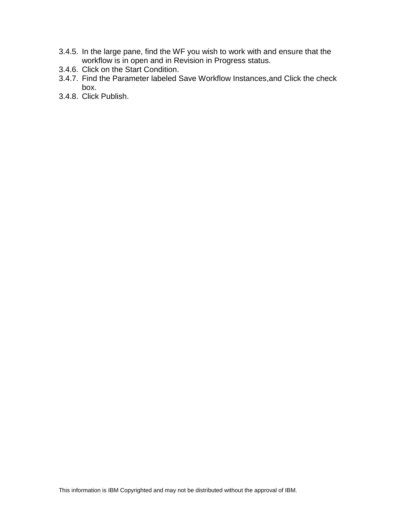- 3.4.5. In the large pane, find the WF you wish to work with and ensure that the workflow is in open and in Revision in Progress status.
- 3.4.6. Click on the Start Condition.
- 3.4.7. Find the Parameter labeled Save Workflow Instances,and Click the check box.
- 3.4.8. Click Publish.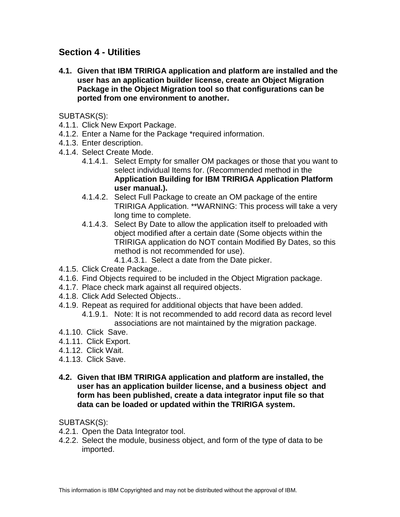# **Section 4 - Utilities**

**4.1. Given that IBM TRIRIGA application and platform are installed and the user has an application builder license, create an Object Migration Package in the Object Migration tool so that configurations can be ported from one environment to another.** 

## SUBTASK(S):

- 4.1.1. Click New Export Package.
- 4.1.2. Enter a Name for the Package \*required information.
- 4.1.3. Enter description.
- 4.1.4. Select Create Mode.
	- 4.1.4.1. Select Empty for smaller OM packages or those that you want to select individual Items for. (Recommended method in the **Application Building for IBM TRIRIGA Application Platform user manual.).**
	- 4.1.4.2. Select Full Package to create an OM package of the entire TRIRIGA Application. \*\*WARNING: This process will take a very long time to complete.
	- 4.1.4.3. Select By Date to allow the application itself to preloaded with object modified after a certain date (Some objects within the TRIRIGA application do NOT contain Modified By Dates, so this method is not recommended for use).

4.1.4.3.1. Select a date from the Date picker.

- 4.1.5. Click Create Package..
- 4.1.6. Find Objects required to be included in the Object Migration package.
- 4.1.7. Place check mark against all required objects.
- 4.1.8. Click Add Selected Objects..
- 4.1.9. Repeat as required for additional objects that have been added.
	- 4.1.9.1. Note: It is not recommended to add record data as record level associations are not maintained by the migration package.
- 4.1.10. Click Save.
- 4.1.11. Click Export.
- 4.1.12. Click Wait.
- 4.1.13. Click Save.
- **4.2. Given that IBM TRIRIGA application and platform are installed, the user has an application builder license, and a business object and form has been published, create a data integrator input file so that data can be loaded or updated within the TRIRIGA system.**

- 4.2.1. Open the Data Integrator tool.
- 4.2.2. Select the module, business object, and form of the type of data to be imported.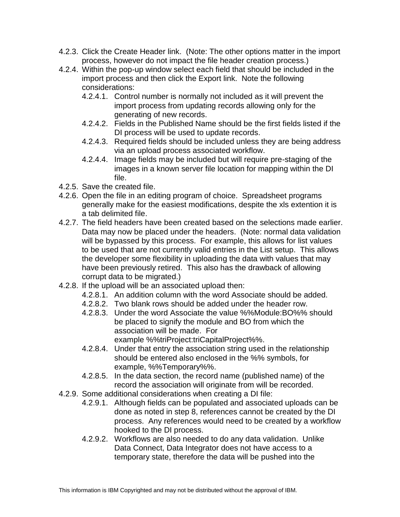- 4.2.3. Click the Create Header link. (Note: The other options matter in the import process, however do not impact the file header creation process.)
- 4.2.4. Within the pop-up window select each field that should be included in the import process and then click the Export link. Note the following considerations:
	- 4.2.4.1. Control number is normally not included as it will prevent the import process from updating records allowing only for the generating of new records.
	- 4.2.4.2. Fields in the Published Name should be the first fields listed if the DI process will be used to update records.
	- 4.2.4.3. Required fields should be included unless they are being address via an upload process associated workflow.
	- 4.2.4.4. Image fields may be included but will require pre-staging of the images in a known server file location for mapping within the DI file.
- 4.2.5. Save the created file.
- 4.2.6. Open the file in an editing program of choice. Spreadsheet programs generally make for the easiest modifications, despite the xls extention it is a tab delimited file.
- 4.2.7. The field headers have been created based on the selections made earlier. Data may now be placed under the headers. (Note: normal data validation will be bypassed by this process. For example, this allows for list values to be used that are not currently valid entries in the List setup. This allows the developer some flexibility in uploading the data with values that may have been previously retired. This also has the drawback of allowing corrupt data to be migrated.)
- 4.2.8. If the upload will be an associated upload then:
	- 4.2.8.1. An addition column with the word Associate should be added.
	- 4.2.8.2. Two blank rows should be added under the header row.
	- 4.2.8.3. Under the word Associate the value %%Module:BO%% should be placed to signify the module and BO from which the association will be made. For example %%triProject:triCapitalProject%%.
	- 4.2.8.4. Under that entry the association string used in the relationship should be entered also enclosed in the %% symbols, for example, %%Temporary%%.
	- 4.2.8.5. In the data section, the record name (published name) of the record the association will originate from will be recorded.
- 4.2.9. Some additional considerations when creating a DI file:
	- 4.2.9.1. Although fields can be populated and associated uploads can be done as noted in step 8, references cannot be created by the DI process. Any references would need to be created by a workflow hooked to the DI process.
	- 4.2.9.2. Workflows are also needed to do any data validation. Unlike Data Connect, Data Integrator does not have access to a temporary state, therefore the data will be pushed into the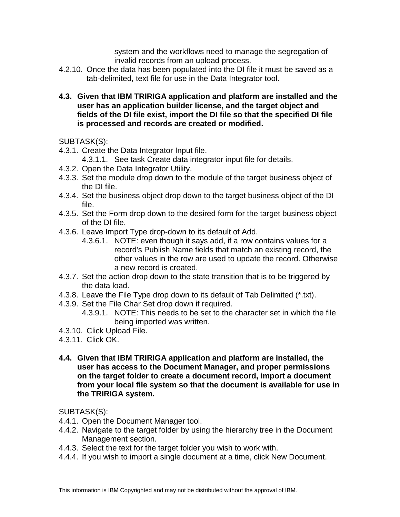system and the workflows need to manage the segregation of invalid records from an upload process.

- 4.2.10. Once the data has been populated into the DI file it must be saved as a tab-delimited, text file for use in the Data Integrator tool.
- **4.3. Given that IBM TRIRIGA application and platform are installed and the user has an application builder license, and the target object and fields of the DI file exist, import the DI file so that the specified DI file is processed and records are created or modified.**

SUBTASK(S):

- 4.3.1. Create the Data Integrator Input file.
	- 4.3.1.1. See task Create data integrator input file for details.
- 4.3.2. Open the Data Integrator Utility.
- 4.3.3. Set the module drop down to the module of the target business object of the DI file.
- 4.3.4. Set the business object drop down to the target business object of the DI file.
- 4.3.5. Set the Form drop down to the desired form for the target business object of the DI file.
- 4.3.6. Leave Import Type drop-down to its default of Add.
	- 4.3.6.1. NOTE: even though it says add, if a row contains values for a record's Publish Name fields that match an existing record, the other values in the row are used to update the record. Otherwise a new record is created.
- 4.3.7. Set the action drop down to the state transition that is to be triggered by the data load.
- 4.3.8. Leave the File Type drop down to its default of Tab Delimited (\*.txt).
- 4.3.9. Set the File Char Set drop down if required.
	- 4.3.9.1. NOTE: This needs to be set to the character set in which the file being imported was written.
- 4.3.10. Click Upload File.
- 4.3.11. Click OK.
- **4.4. Given that IBM TRIRIGA application and platform are installed, the user has access to the Document Manager, and proper permissions on the target folder to create a document record, import a document from your local file system so that the document is available for use in the TRIRIGA system.**

- 4.4.1. Open the Document Manager tool.
- 4.4.2. Navigate to the target folder by using the hierarchy tree in the Document Management section.
- 4.4.3. Select the text for the target folder you wish to work with.
- 4.4.4. If you wish to import a single document at a time, click New Document.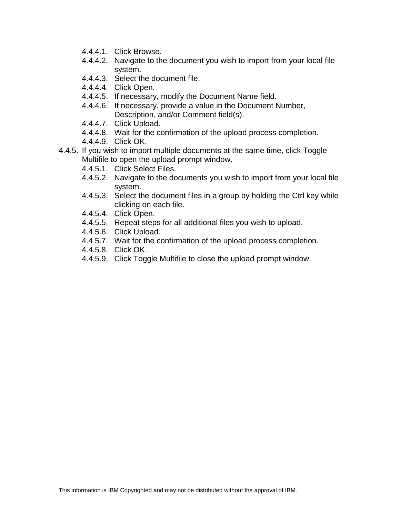- 4.4.4.1. Click Browse.
- 4.4.4.2. Navigate to the document you wish to import from your local file system.
- 4.4.4.3. Select the document file.
- 4.4.4.4. Click Open.
- 4.4.4.5. If necessary, modify the Document Name field.
- 4.4.4.6. If necessary, provide a value in the Document Number, Description, and/or Comment field(s).
- 4.4.4.7. Click Upload.
- 4.4.4.8. Wait for the confirmation of the upload process completion.
- 4.4.4.9. Click OK.
- 4.4.5. If you wish to import multiple documents at the same time, click Toggle Multifile to open the upload prompt window.
	- 4.4.5.1. Click Select Files.
	- 4.4.5.2. Navigate to the documents you wish to import from your local file system.
	- 4.4.5.3. Select the document files in a group by holding the Ctrl key while clicking on each file.
	- 4.4.5.4. Click Open.
	- 4.4.5.5. Repeat steps for all additional files you wish to upload.
	- 4.4.5.6. Click Upload.
	- 4.4.5.7. Wait for the confirmation of the upload process completion.
	- 4.4.5.8. Click OK.
	- 4.4.5.9. Click Toggle Multifile to close the upload prompt window.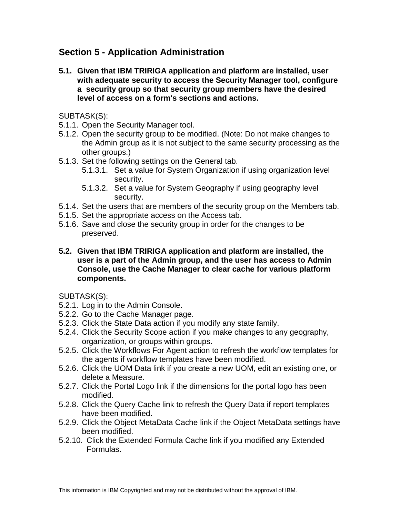# **Section 5 - Application Administration**

**5.1. Given that IBM TRIRIGA application and platform are installed, user with adequate security to access the Security Manager tool, configure a security group so that security group members have the desired level of access on a form's sections and actions.**

SUBTASK(S):

- 5.1.1. Open the Security Manager tool.
- 5.1.2. Open the security group to be modified. (Note: Do not make changes to the Admin group as it is not subject to the same security processing as the other groups.)
- 5.1.3. Set the following settings on the General tab.
	- 5.1.3.1. Set a value for System Organization if using organization level security.
	- 5.1.3.2. Set a value for System Geography if using geography level security.
- 5.1.4. Set the users that are members of the security group on the Members tab.
- 5.1.5. Set the appropriate access on the Access tab.
- 5.1.6. Save and close the security group in order for the changes to be preserved.
- **5.2. Given that IBM TRIRIGA application and platform are installed, the user is a part of the Admin group, and the user has access to Admin Console, use the Cache Manager to clear cache for various platform components.**

- 5.2.1. Log in to the Admin Console.
- 5.2.2. Go to the Cache Manager page.
- 5.2.3. Click the State Data action if you modify any state family.
- 5.2.4. Click the Security Scope action if you make changes to any geography, organization, or groups within groups.
- 5.2.5. Click the Workflows For Agent action to refresh the workflow templates for the agents if workflow templates have been modified.
- 5.2.6. Click the UOM Data link if you create a new UOM, edit an existing one, or delete a Measure.
- 5.2.7. Click the Portal Logo link if the dimensions for the portal logo has been modified.
- 5.2.8. Click the Query Cache link to refresh the Query Data if report templates have been modified.
- 5.2.9. Click the Object MetaData Cache link if the Object MetaData settings have been modified.
- 5.2.10. Click the Extended Formula Cache link if you modified any Extended Formulas.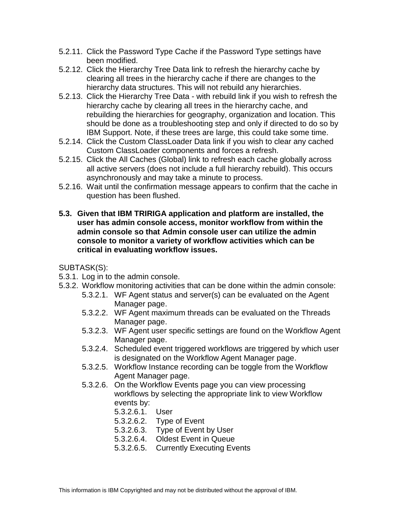- 5.2.11. Click the Password Type Cache if the Password Type settings have been modified.
- 5.2.12. Click the Hierarchy Tree Data link to refresh the hierarchy cache by clearing all trees in the hierarchy cache if there are changes to the hierarchy data structures. This will not rebuild any hierarchies.
- 5.2.13. Click the Hierarchy Tree Data with rebuild link if you wish to refresh the hierarchy cache by clearing all trees in the hierarchy cache, and rebuilding the hierarchies for geography, organization and location. This should be done as a troubleshooting step and only if directed to do so by IBM Support. Note, if these trees are large, this could take some time.
- 5.2.14. Click the Custom ClassLoader Data link if you wish to clear any cached Custom ClassLoader components and forces a refresh.
- 5.2.15. Click the All Caches (Global) link to refresh each cache globally across all active servers (does not include a full hierarchy rebuild). This occurs asynchronously and may take a minute to process.
- 5.2.16. Wait until the confirmation message appears to confirm that the cache in question has been flushed.
- **5.3. Given that IBM TRIRIGA application and platform are installed, the user has admin console access, monitor workflow from within the admin console so that Admin console user can utilize the admin console to monitor a variety of workflow activities which can be critical in evaluating workflow issues.**

- 5.3.1. Log in to the admin console.
- 5.3.2. Workflow monitoring activities that can be done within the admin console:
	- 5.3.2.1. WF Agent status and server(s) can be evaluated on the Agent Manager page.
	- 5.3.2.2. WF Agent maximum threads can be evaluated on the Threads Manager page.
	- 5.3.2.3. WF Agent user specific settings are found on the Workflow Agent Manager page.
	- 5.3.2.4. Scheduled event triggered workflows are triggered by which user is designated on the Workflow Agent Manager page.
	- 5.3.2.5. Workflow Instance recording can be toggle from the Workflow Agent Manager page.
	- 5.3.2.6. On the Workflow Events page you can view processing workflows by selecting the appropriate link to view Workflow events by:
		- 5.3.2.6.1. User
		- 5.3.2.6.2. Type of Event
		- 5.3.2.6.3. Type of Event by User
		- 5.3.2.6.4. Oldest Event in Queue
		- 5.3.2.6.5. Currently Executing Events